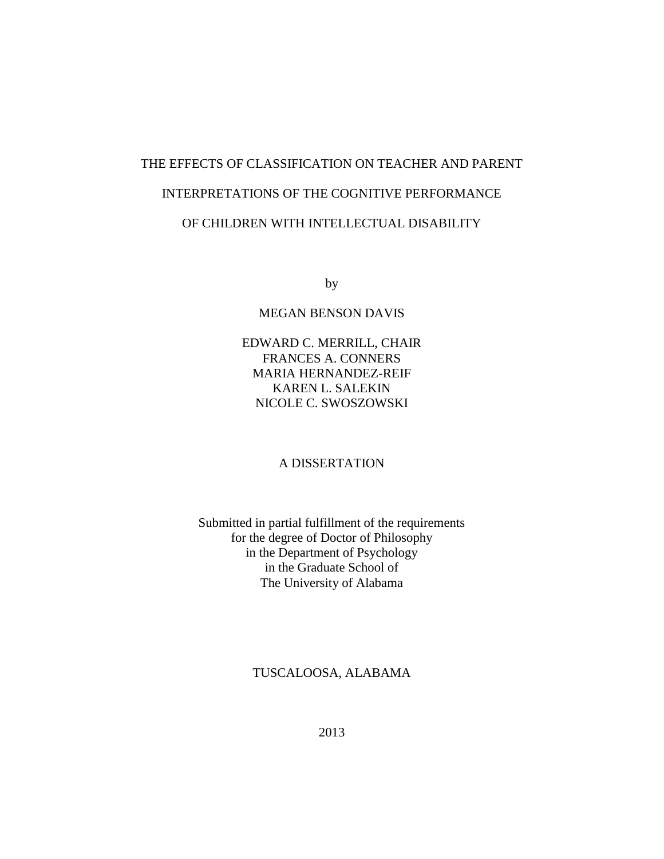# THE EFFECTS OF CLASSIFICATION ON TEACHER AND PARENT INTERPRETATIONS OF THE COGNITIVE PERFORMANCE OF CHILDREN WITH INTELLECTUAL DISABILITY

by

#### MEGAN BENSON DAVIS

EDWARD C. MERRILL, CHAIR FRANCES A. CONNERS MARIA HERNANDEZ-REIF KAREN L. SALEKIN NICOLE C. SWOSZOWSKI

#### A DISSERTATION

### Submitted in partial fulfillment of the requirements for the degree of Doctor of Philosophy in the Department of Psychology in the Graduate School of The University of Alabama

#### TUSCALOOSA, ALABAMA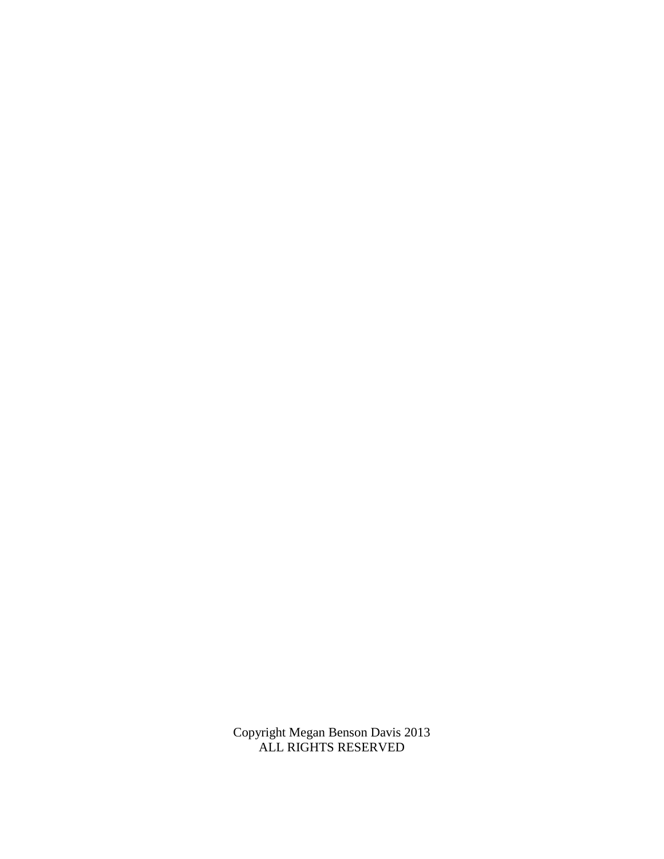Copyright Megan Benson Davis 2013 ALL RIGHTS RESERVED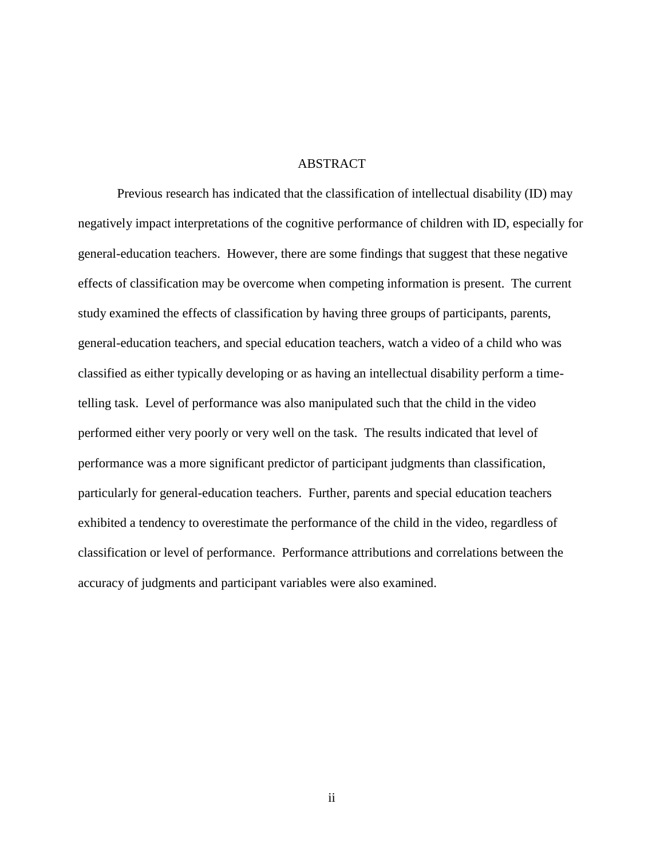#### ABSTRACT

Previous research has indicated that the classification of intellectual disability (ID) may negatively impact interpretations of the cognitive performance of children with ID, especially for general-education teachers. However, there are some findings that suggest that these negative effects of classification may be overcome when competing information is present. The current study examined the effects of classification by having three groups of participants, parents, general-education teachers, and special education teachers, watch a video of a child who was classified as either typically developing or as having an intellectual disability perform a timetelling task. Level of performance was also manipulated such that the child in the video performed either very poorly or very well on the task. The results indicated that level of performance was a more significant predictor of participant judgments than classification, particularly for general-education teachers. Further, parents and special education teachers exhibited a tendency to overestimate the performance of the child in the video, regardless of classification or level of performance. Performance attributions and correlations between the accuracy of judgments and participant variables were also examined.

ii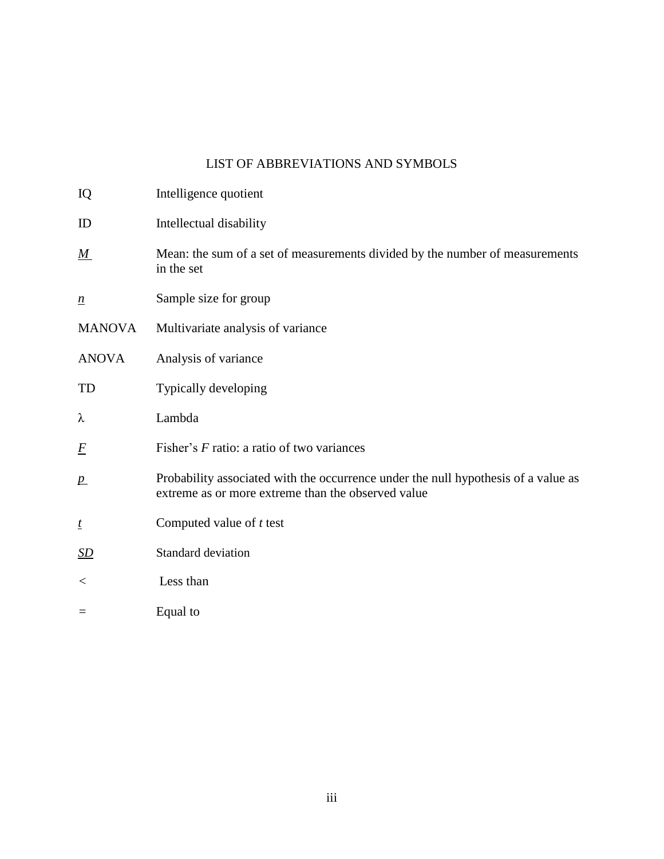## LIST OF ABBREVIATIONS AND SYMBOLS

| IQ               | Intelligence quotient                                                                                                                    |
|------------------|------------------------------------------------------------------------------------------------------------------------------------------|
| ID               | Intellectual disability                                                                                                                  |
| $\underline{M}$  | Mean: the sum of a set of measurements divided by the number of measurements<br>in the set                                               |
| $\underline{n}$  | Sample size for group                                                                                                                    |
| <b>MANOVA</b>    | Multivariate analysis of variance                                                                                                        |
| <b>ANOVA</b>     | Analysis of variance                                                                                                                     |
| TD               | Typically developing                                                                                                                     |
| λ                | Lambda                                                                                                                                   |
| $\overline{F}$   | Fisher's F ratio: a ratio of two variances                                                                                               |
| p                | Probability associated with the occurrence under the null hypothesis of a value as<br>extreme as or more extreme than the observed value |
| $\mathbf{t}$     | Computed value of $t$ test                                                                                                               |
| $\underline{SD}$ | Standard deviation                                                                                                                       |
| $<\,$            | Less than                                                                                                                                |
| $=$              | Equal to                                                                                                                                 |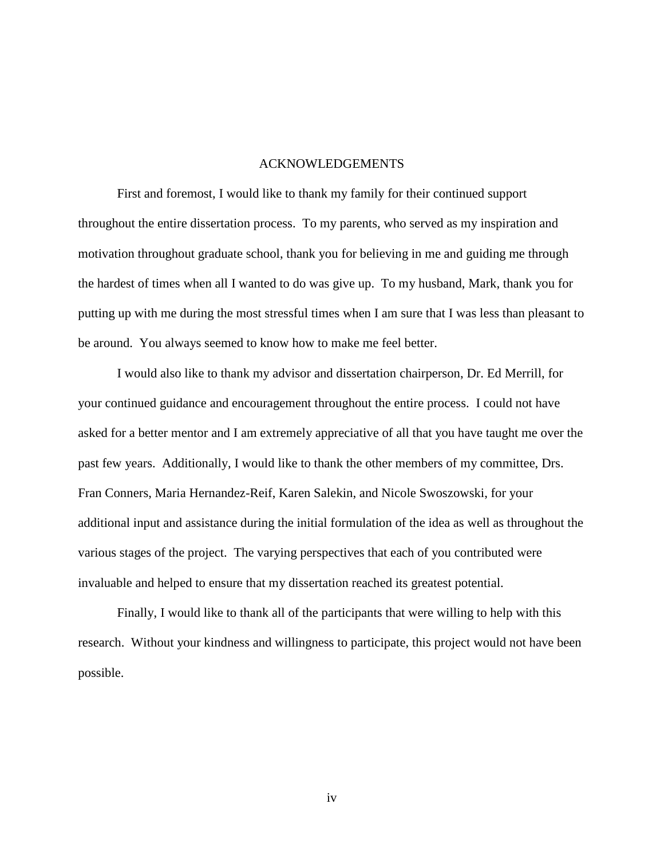#### ACKNOWLEDGEMENTS

First and foremost, I would like to thank my family for their continued support throughout the entire dissertation process. To my parents, who served as my inspiration and motivation throughout graduate school, thank you for believing in me and guiding me through the hardest of times when all I wanted to do was give up. To my husband, Mark, thank you for putting up with me during the most stressful times when I am sure that I was less than pleasant to be around. You always seemed to know how to make me feel better.

I would also like to thank my advisor and dissertation chairperson, Dr. Ed Merrill, for your continued guidance and encouragement throughout the entire process. I could not have asked for a better mentor and I am extremely appreciative of all that you have taught me over the past few years. Additionally, I would like to thank the other members of my committee, Drs. Fran Conners, Maria Hernandez-Reif, Karen Salekin, and Nicole Swoszowski, for your additional input and assistance during the initial formulation of the idea as well as throughout the various stages of the project. The varying perspectives that each of you contributed were invaluable and helped to ensure that my dissertation reached its greatest potential.

Finally, I would like to thank all of the participants that were willing to help with this research. Without your kindness and willingness to participate, this project would not have been possible.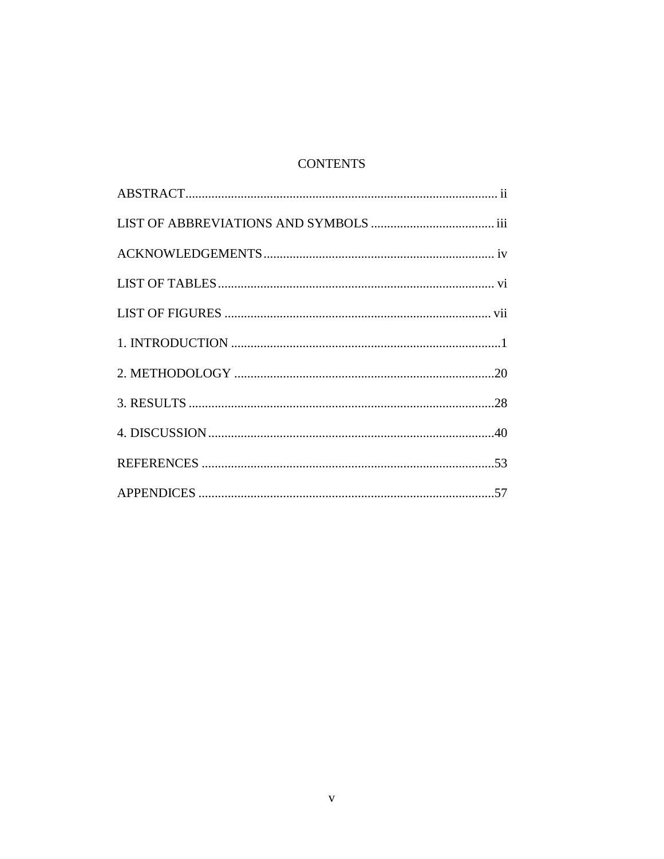## **CONTENTS**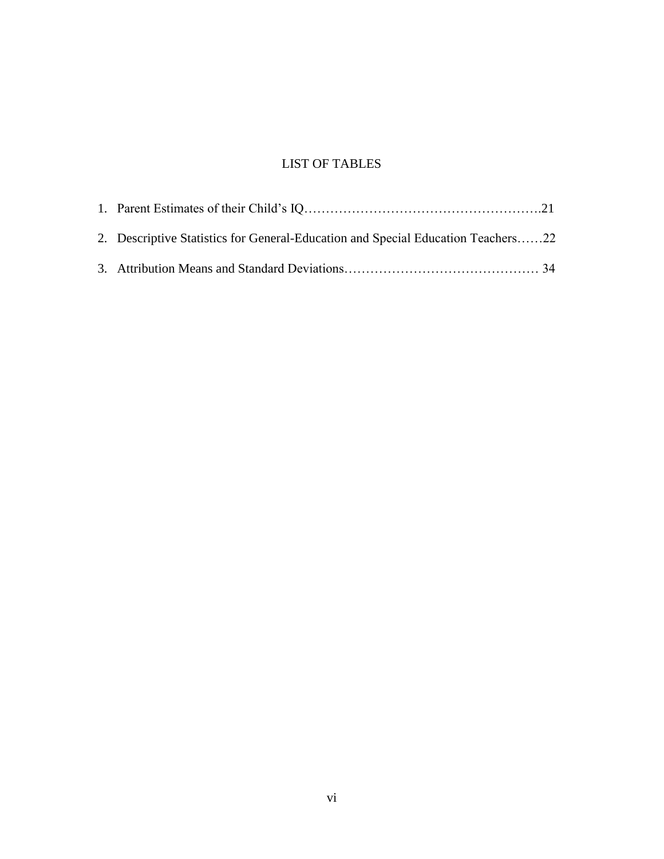## LIST OF TABLES

| 2. Descriptive Statistics for General-Education and Special Education Teachers22 |  |
|----------------------------------------------------------------------------------|--|
|                                                                                  |  |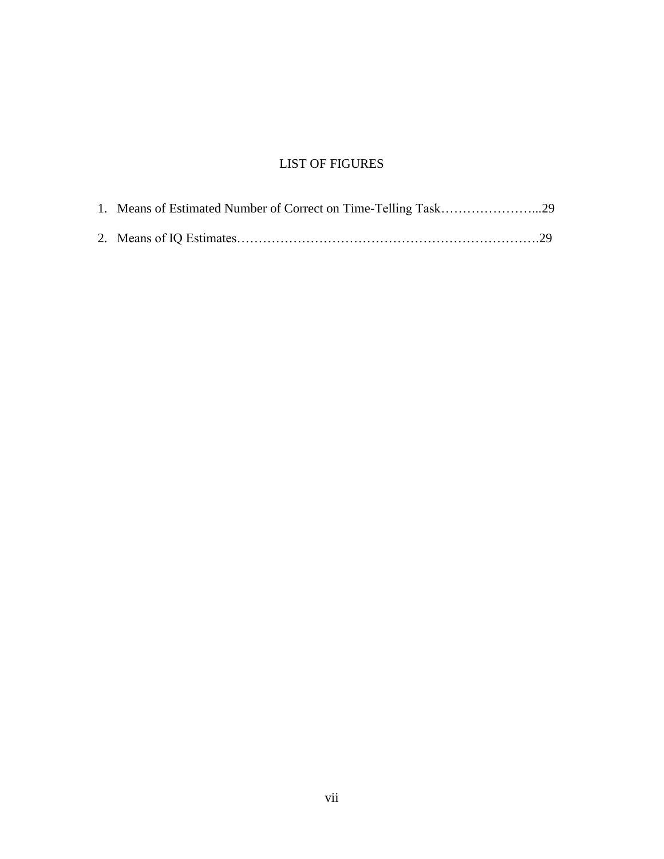## LIST OF FIGURES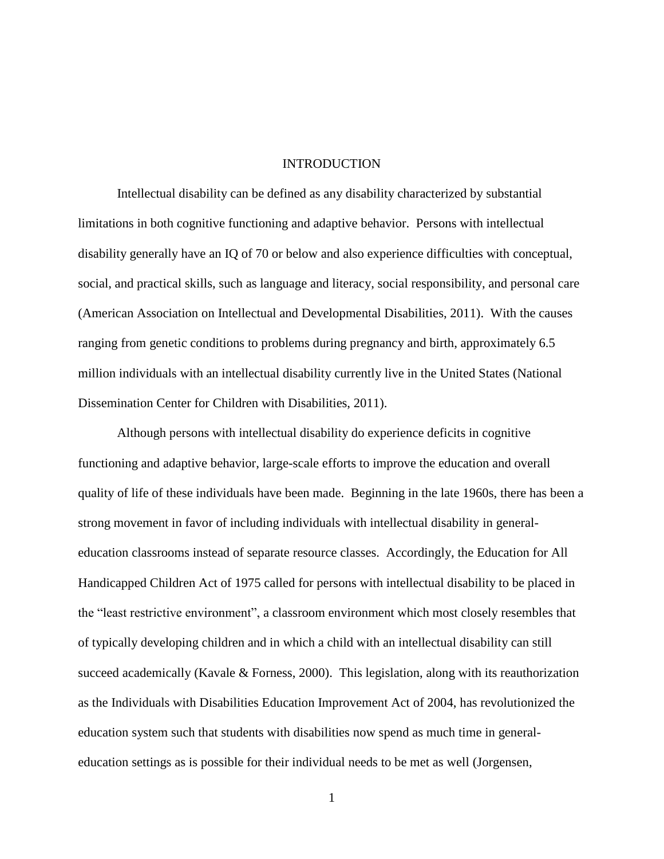#### **INTRODUCTION**

Intellectual disability can be defined as any disability characterized by substantial limitations in both cognitive functioning and adaptive behavior. Persons with intellectual disability generally have an IQ of 70 or below and also experience difficulties with conceptual, social, and practical skills, such as language and literacy, social responsibility, and personal care (American Association on Intellectual and Developmental Disabilities, 2011). With the causes ranging from genetic conditions to problems during pregnancy and birth, approximately 6.5 million individuals with an intellectual disability currently live in the United States (National Dissemination Center for Children with Disabilities, 2011).

Although persons with intellectual disability do experience deficits in cognitive functioning and adaptive behavior, large-scale efforts to improve the education and overall quality of life of these individuals have been made. Beginning in the late 1960s, there has been a strong movement in favor of including individuals with intellectual disability in generaleducation classrooms instead of separate resource classes. Accordingly, the Education for All Handicapped Children Act of 1975 called for persons with intellectual disability to be placed in the "least restrictive environment", a classroom environment which most closely resembles that of typically developing children and in which a child with an intellectual disability can still succeed academically (Kavale & Forness, 2000). This legislation, along with its reauthorization as the Individuals with Disabilities Education Improvement Act of 2004, has revolutionized the education system such that students with disabilities now spend as much time in generaleducation settings as is possible for their individual needs to be met as well (Jorgensen,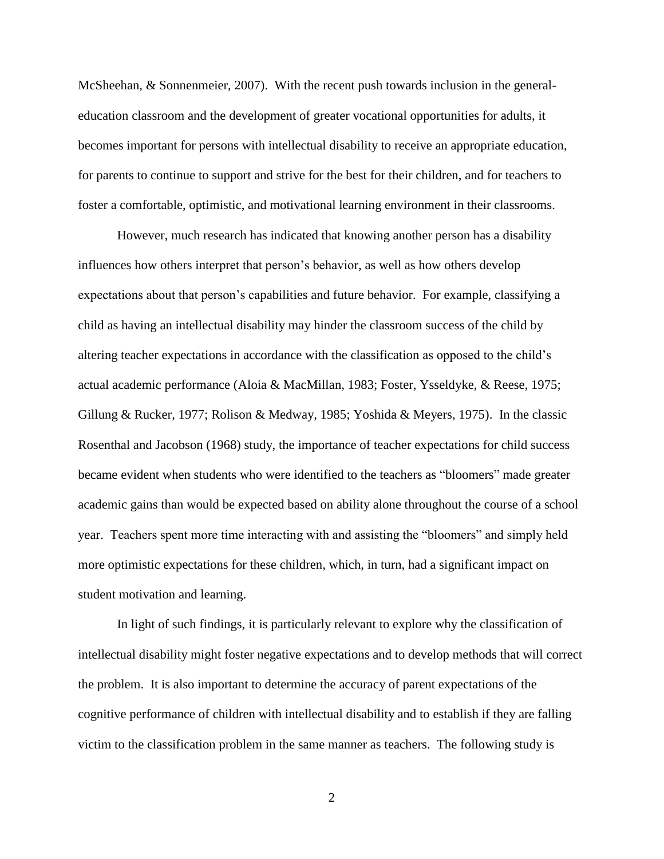McSheehan, & Sonnenmeier, 2007). With the recent push towards inclusion in the generaleducation classroom and the development of greater vocational opportunities for adults, it becomes important for persons with intellectual disability to receive an appropriate education, for parents to continue to support and strive for the best for their children, and for teachers to foster a comfortable, optimistic, and motivational learning environment in their classrooms.

However, much research has indicated that knowing another person has a disability influences how others interpret that person's behavior, as well as how others develop expectations about that person's capabilities and future behavior. For example, classifying a child as having an intellectual disability may hinder the classroom success of the child by altering teacher expectations in accordance with the classification as opposed to the child's actual academic performance (Aloia & MacMillan, 1983; Foster, Ysseldyke, & Reese, 1975; Gillung & Rucker, 1977; Rolison & Medway, 1985; Yoshida & Meyers, 1975). In the classic Rosenthal and Jacobson (1968) study, the importance of teacher expectations for child success became evident when students who were identified to the teachers as "bloomers" made greater academic gains than would be expected based on ability alone throughout the course of a school year. Teachers spent more time interacting with and assisting the "bloomers" and simply held more optimistic expectations for these children, which, in turn, had a significant impact on student motivation and learning.

In light of such findings, it is particularly relevant to explore why the classification of intellectual disability might foster negative expectations and to develop methods that will correct the problem. It is also important to determine the accuracy of parent expectations of the cognitive performance of children with intellectual disability and to establish if they are falling victim to the classification problem in the same manner as teachers. The following study is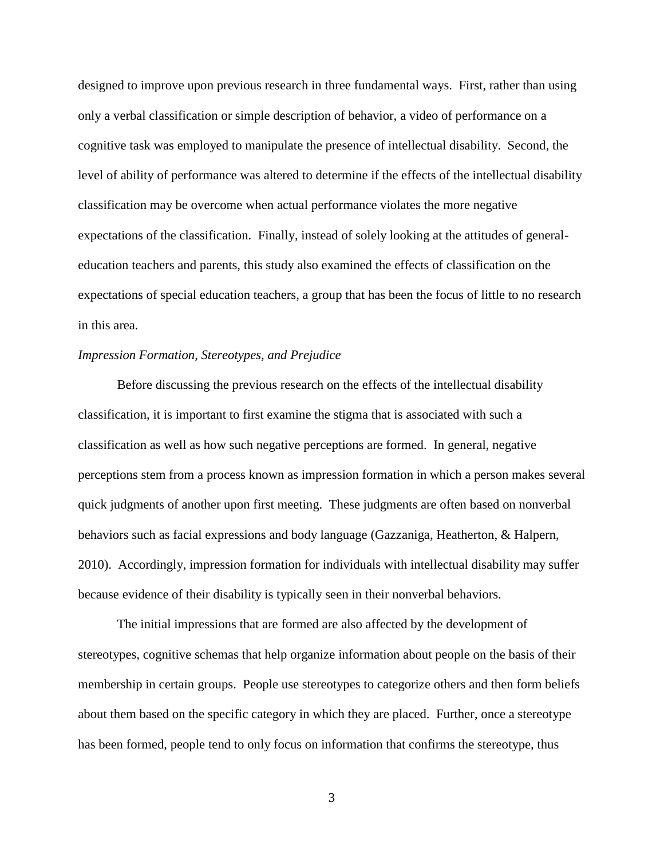designed to improve upon previous research in three fundamental ways. First, rather than using only a verbal classification or simple description of behavior, a video of performance on a cognitive task was employed to manipulate the presence of intellectual disability. Second, the level of ability of performance was altered to determine if the effects of the intellectual disability classification may be overcome when actual performance violates the more negative expectations of the classification. Finally, instead of solely looking at the attitudes of generaleducation teachers and parents, this study also examined the effects of classification on the expectations of special education teachers, a group that has been the focus of little to no research in this area.

#### *Impression Formation, Stereotypes, and Prejudice*

Before discussing the previous research on the effects of the intellectual disability classification, it is important to first examine the stigma that is associated with such a classification as well as how such negative perceptions are formed. In general, negative perceptions stem from a process known as impression formation in which a person makes several quick judgments of another upon first meeting. These judgments are often based on nonverbal behaviors such as facial expressions and body language (Gazzaniga, Heatherton, & Halpern, 2010). Accordingly, impression formation for individuals with intellectual disability may suffer because evidence of their disability is typically seen in their nonverbal behaviors.

The initial impressions that are formed are also affected by the development of stereotypes, cognitive schemas that help organize information about people on the basis of their membership in certain groups. People use stereotypes to categorize others and then form beliefs about them based on the specific category in which they are placed. Further, once a stereotype has been formed, people tend to only focus on information that confirms the stereotype, thus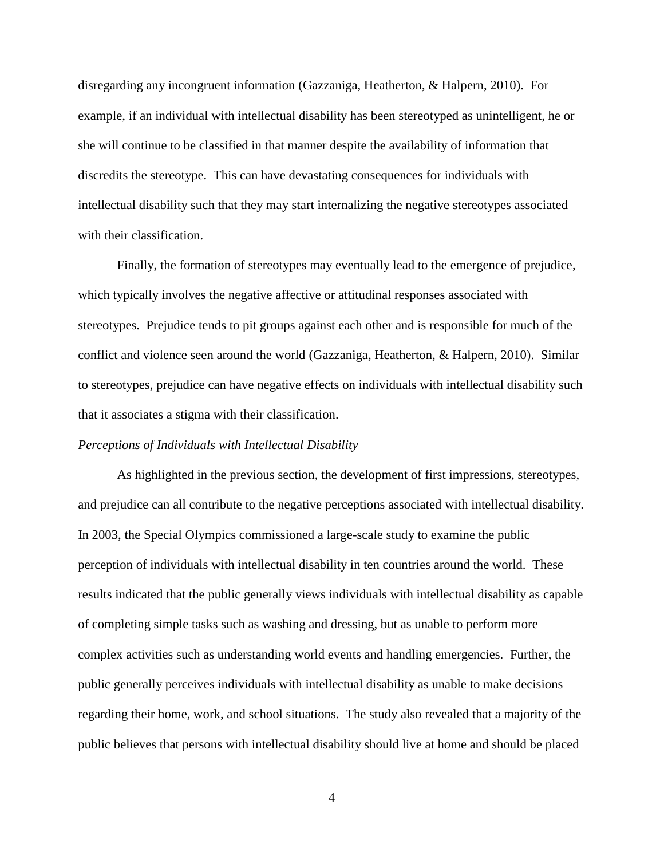disregarding any incongruent information (Gazzaniga, Heatherton, & Halpern, 2010). For example, if an individual with intellectual disability has been stereotyped as unintelligent, he or she will continue to be classified in that manner despite the availability of information that discredits the stereotype. This can have devastating consequences for individuals with intellectual disability such that they may start internalizing the negative stereotypes associated with their classification.

Finally, the formation of stereotypes may eventually lead to the emergence of prejudice, which typically involves the negative affective or attitudinal responses associated with stereotypes. Prejudice tends to pit groups against each other and is responsible for much of the conflict and violence seen around the world (Gazzaniga, Heatherton, & Halpern, 2010). Similar to stereotypes, prejudice can have negative effects on individuals with intellectual disability such that it associates a stigma with their classification.

#### *Perceptions of Individuals with Intellectual Disability*

As highlighted in the previous section, the development of first impressions, stereotypes, and prejudice can all contribute to the negative perceptions associated with intellectual disability. In 2003, the Special Olympics commissioned a large-scale study to examine the public perception of individuals with intellectual disability in ten countries around the world. These results indicated that the public generally views individuals with intellectual disability as capable of completing simple tasks such as washing and dressing, but as unable to perform more complex activities such as understanding world events and handling emergencies. Further, the public generally perceives individuals with intellectual disability as unable to make decisions regarding their home, work, and school situations. The study also revealed that a majority of the public believes that persons with intellectual disability should live at home and should be placed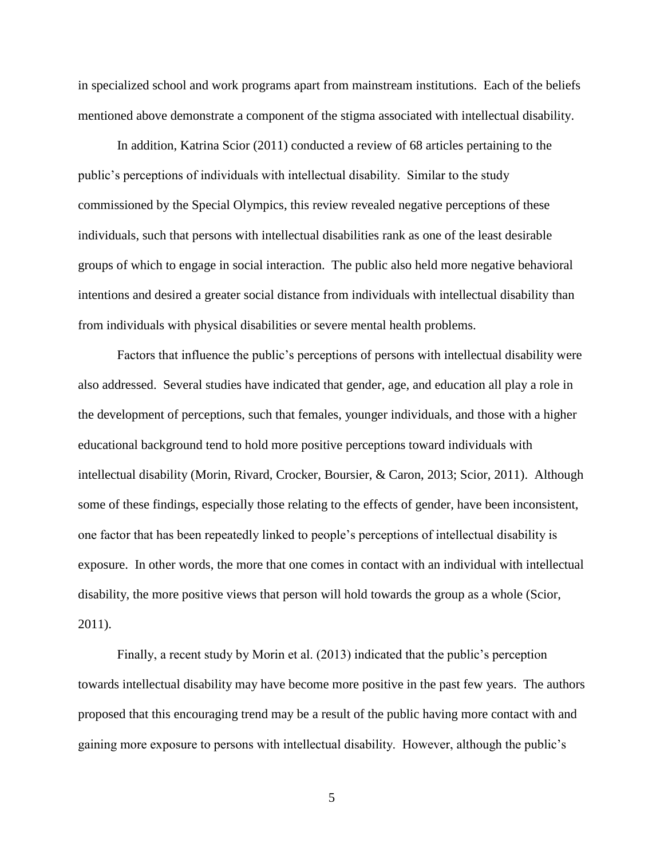in specialized school and work programs apart from mainstream institutions. Each of the beliefs mentioned above demonstrate a component of the stigma associated with intellectual disability.

In addition, Katrina Scior (2011) conducted a review of 68 articles pertaining to the public's perceptions of individuals with intellectual disability. Similar to the study commissioned by the Special Olympics, this review revealed negative perceptions of these individuals, such that persons with intellectual disabilities rank as one of the least desirable groups of which to engage in social interaction. The public also held more negative behavioral intentions and desired a greater social distance from individuals with intellectual disability than from individuals with physical disabilities or severe mental health problems.

Factors that influence the public's perceptions of persons with intellectual disability were also addressed. Several studies have indicated that gender, age, and education all play a role in the development of perceptions, such that females, younger individuals, and those with a higher educational background tend to hold more positive perceptions toward individuals with intellectual disability (Morin, Rivard, Crocker, Boursier, & Caron, 2013; Scior, 2011). Although some of these findings, especially those relating to the effects of gender, have been inconsistent, one factor that has been repeatedly linked to people's perceptions of intellectual disability is exposure. In other words, the more that one comes in contact with an individual with intellectual disability, the more positive views that person will hold towards the group as a whole (Scior, 2011).

Finally, a recent study by Morin et al. (2013) indicated that the public's perception towards intellectual disability may have become more positive in the past few years. The authors proposed that this encouraging trend may be a result of the public having more contact with and gaining more exposure to persons with intellectual disability. However, although the public's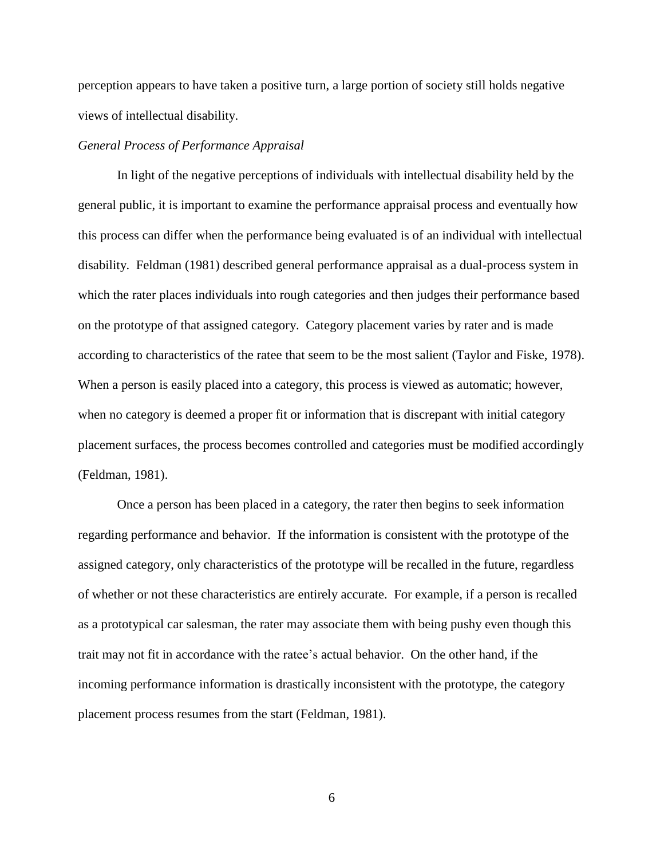perception appears to have taken a positive turn, a large portion of society still holds negative views of intellectual disability.

#### *General Process of Performance Appraisal*

In light of the negative perceptions of individuals with intellectual disability held by the general public, it is important to examine the performance appraisal process and eventually how this process can differ when the performance being evaluated is of an individual with intellectual disability. Feldman (1981) described general performance appraisal as a dual-process system in which the rater places individuals into rough categories and then judges their performance based on the prototype of that assigned category. Category placement varies by rater and is made according to characteristics of the ratee that seem to be the most salient (Taylor and Fiske, 1978). When a person is easily placed into a category, this process is viewed as automatic; however, when no category is deemed a proper fit or information that is discrepant with initial category placement surfaces, the process becomes controlled and categories must be modified accordingly (Feldman, 1981).

Once a person has been placed in a category, the rater then begins to seek information regarding performance and behavior. If the information is consistent with the prototype of the assigned category, only characteristics of the prototype will be recalled in the future, regardless of whether or not these characteristics are entirely accurate. For example, if a person is recalled as a prototypical car salesman, the rater may associate them with being pushy even though this trait may not fit in accordance with the ratee's actual behavior. On the other hand, if the incoming performance information is drastically inconsistent with the prototype, the category placement process resumes from the start (Feldman, 1981).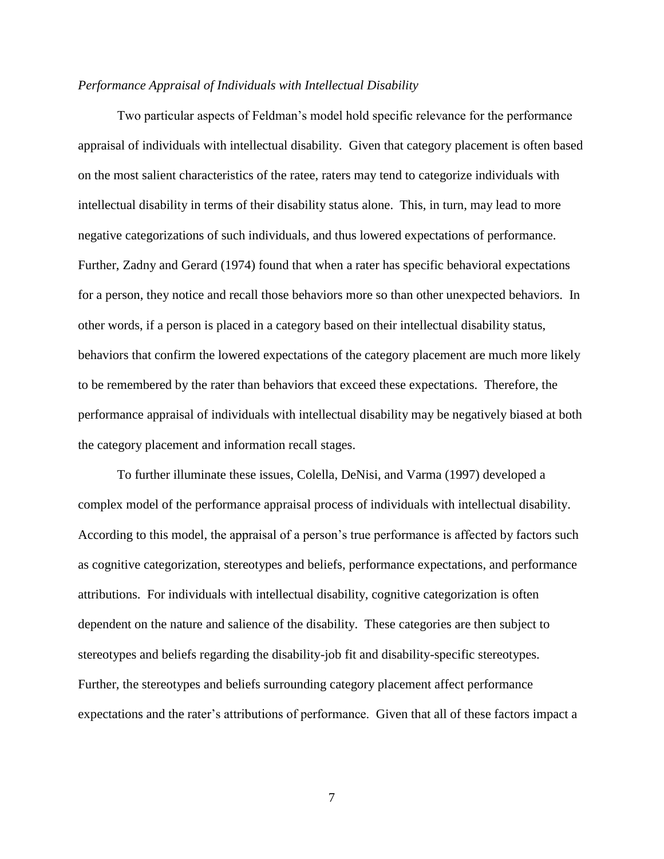#### *Performance Appraisal of Individuals with Intellectual Disability*

Two particular aspects of Feldman's model hold specific relevance for the performance appraisal of individuals with intellectual disability. Given that category placement is often based on the most salient characteristics of the ratee, raters may tend to categorize individuals with intellectual disability in terms of their disability status alone. This, in turn, may lead to more negative categorizations of such individuals, and thus lowered expectations of performance. Further, Zadny and Gerard (1974) found that when a rater has specific behavioral expectations for a person, they notice and recall those behaviors more so than other unexpected behaviors. In other words, if a person is placed in a category based on their intellectual disability status, behaviors that confirm the lowered expectations of the category placement are much more likely to be remembered by the rater than behaviors that exceed these expectations. Therefore, the performance appraisal of individuals with intellectual disability may be negatively biased at both the category placement and information recall stages.

To further illuminate these issues, Colella, DeNisi, and Varma (1997) developed a complex model of the performance appraisal process of individuals with intellectual disability. According to this model, the appraisal of a person's true performance is affected by factors such as cognitive categorization, stereotypes and beliefs, performance expectations, and performance attributions. For individuals with intellectual disability, cognitive categorization is often dependent on the nature and salience of the disability. These categories are then subject to stereotypes and beliefs regarding the disability-job fit and disability-specific stereotypes. Further, the stereotypes and beliefs surrounding category placement affect performance expectations and the rater's attributions of performance. Given that all of these factors impact a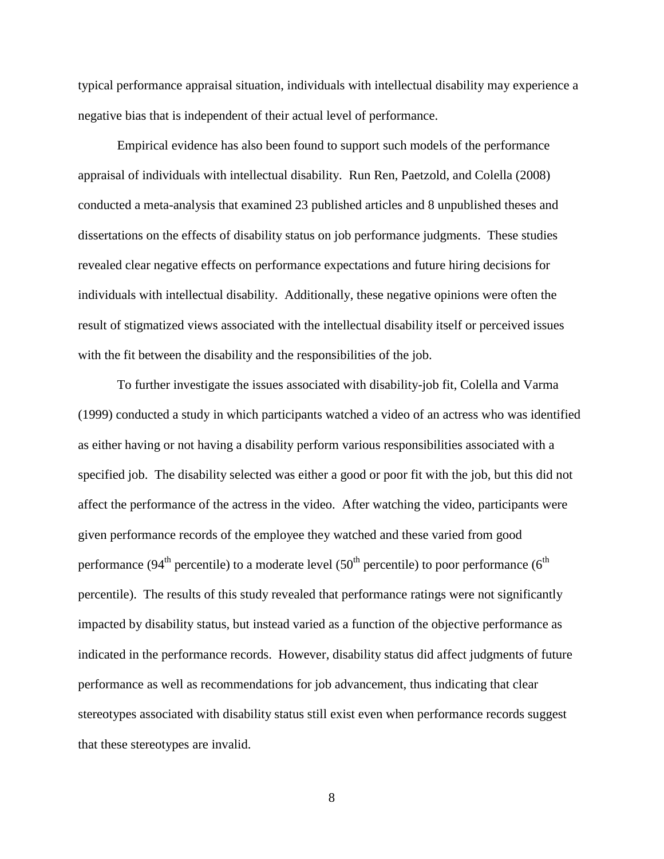typical performance appraisal situation, individuals with intellectual disability may experience a negative bias that is independent of their actual level of performance.

Empirical evidence has also been found to support such models of the performance appraisal of individuals with intellectual disability. Run Ren, Paetzold, and Colella (2008) conducted a meta-analysis that examined 23 published articles and 8 unpublished theses and dissertations on the effects of disability status on job performance judgments. These studies revealed clear negative effects on performance expectations and future hiring decisions for individuals with intellectual disability. Additionally, these negative opinions were often the result of stigmatized views associated with the intellectual disability itself or perceived issues with the fit between the disability and the responsibilities of the job.

To further investigate the issues associated with disability-job fit, Colella and Varma (1999) conducted a study in which participants watched a video of an actress who was identified as either having or not having a disability perform various responsibilities associated with a specified job. The disability selected was either a good or poor fit with the job, but this did not affect the performance of the actress in the video. After watching the video, participants were given performance records of the employee they watched and these varied from good performance (94<sup>th</sup> percentile) to a moderate level (50<sup>th</sup> percentile) to poor performance (6<sup>th</sup>) percentile). The results of this study revealed that performance ratings were not significantly impacted by disability status, but instead varied as a function of the objective performance as indicated in the performance records. However, disability status did affect judgments of future performance as well as recommendations for job advancement, thus indicating that clear stereotypes associated with disability status still exist even when performance records suggest that these stereotypes are invalid.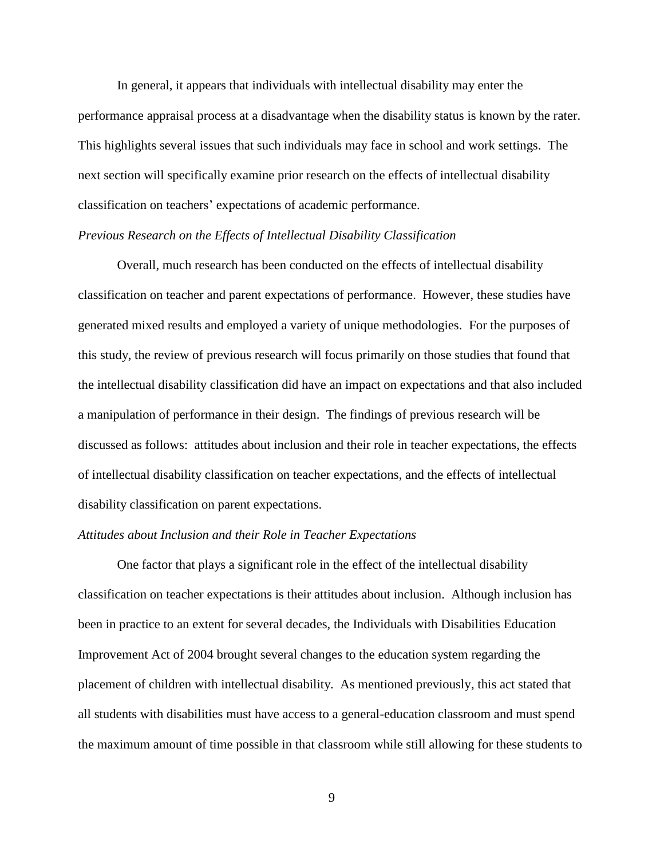In general, it appears that individuals with intellectual disability may enter the performance appraisal process at a disadvantage when the disability status is known by the rater. This highlights several issues that such individuals may face in school and work settings. The next section will specifically examine prior research on the effects of intellectual disability classification on teachers' expectations of academic performance.

#### *Previous Research on the Effects of Intellectual Disability Classification*

Overall, much research has been conducted on the effects of intellectual disability classification on teacher and parent expectations of performance. However, these studies have generated mixed results and employed a variety of unique methodologies. For the purposes of this study, the review of previous research will focus primarily on those studies that found that the intellectual disability classification did have an impact on expectations and that also included a manipulation of performance in their design. The findings of previous research will be discussed as follows: attitudes about inclusion and their role in teacher expectations, the effects of intellectual disability classification on teacher expectations, and the effects of intellectual disability classification on parent expectations.

#### *Attitudes about Inclusion and their Role in Teacher Expectations*

One factor that plays a significant role in the effect of the intellectual disability classification on teacher expectations is their attitudes about inclusion. Although inclusion has been in practice to an extent for several decades, the Individuals with Disabilities Education Improvement Act of 2004 brought several changes to the education system regarding the placement of children with intellectual disability. As mentioned previously, this act stated that all students with disabilities must have access to a general-education classroom and must spend the maximum amount of time possible in that classroom while still allowing for these students to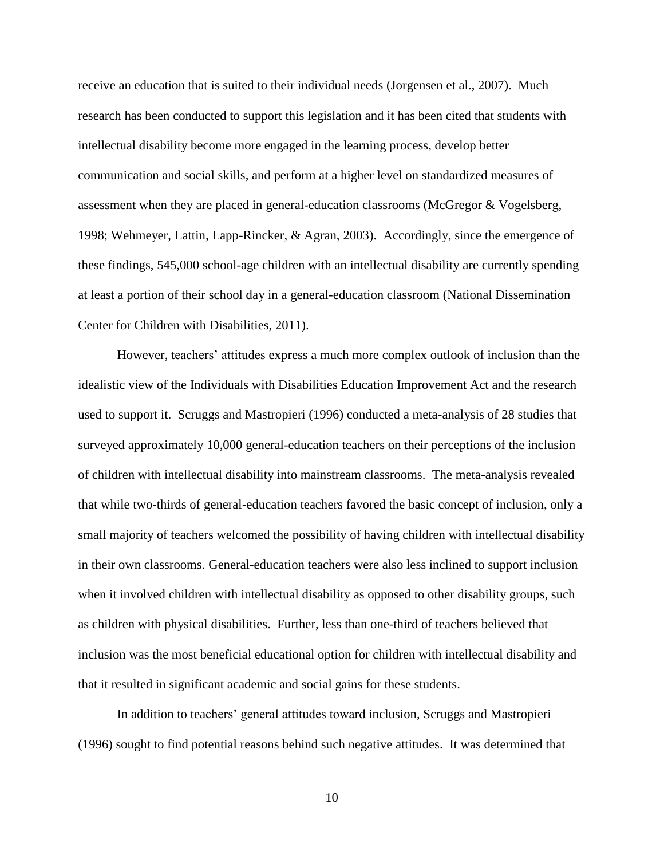receive an education that is suited to their individual needs (Jorgensen et al., 2007). Much research has been conducted to support this legislation and it has been cited that students with intellectual disability become more engaged in the learning process, develop better communication and social skills, and perform at a higher level on standardized measures of assessment when they are placed in general-education classrooms (McGregor & Vogelsberg, 1998; Wehmeyer, Lattin, Lapp-Rincker, & Agran, 2003). Accordingly, since the emergence of these findings, 545,000 school-age children with an intellectual disability are currently spending at least a portion of their school day in a general-education classroom (National Dissemination Center for Children with Disabilities, 2011).

However, teachers' attitudes express a much more complex outlook of inclusion than the idealistic view of the Individuals with Disabilities Education Improvement Act and the research used to support it. Scruggs and Mastropieri (1996) conducted a meta-analysis of 28 studies that surveyed approximately 10,000 general-education teachers on their perceptions of the inclusion of children with intellectual disability into mainstream classrooms. The meta-analysis revealed that while two-thirds of general-education teachers favored the basic concept of inclusion, only a small majority of teachers welcomed the possibility of having children with intellectual disability in their own classrooms. General-education teachers were also less inclined to support inclusion when it involved children with intellectual disability as opposed to other disability groups, such as children with physical disabilities. Further, less than one-third of teachers believed that inclusion was the most beneficial educational option for children with intellectual disability and that it resulted in significant academic and social gains for these students.

In addition to teachers' general attitudes toward inclusion, Scruggs and Mastropieri (1996) sought to find potential reasons behind such negative attitudes. It was determined that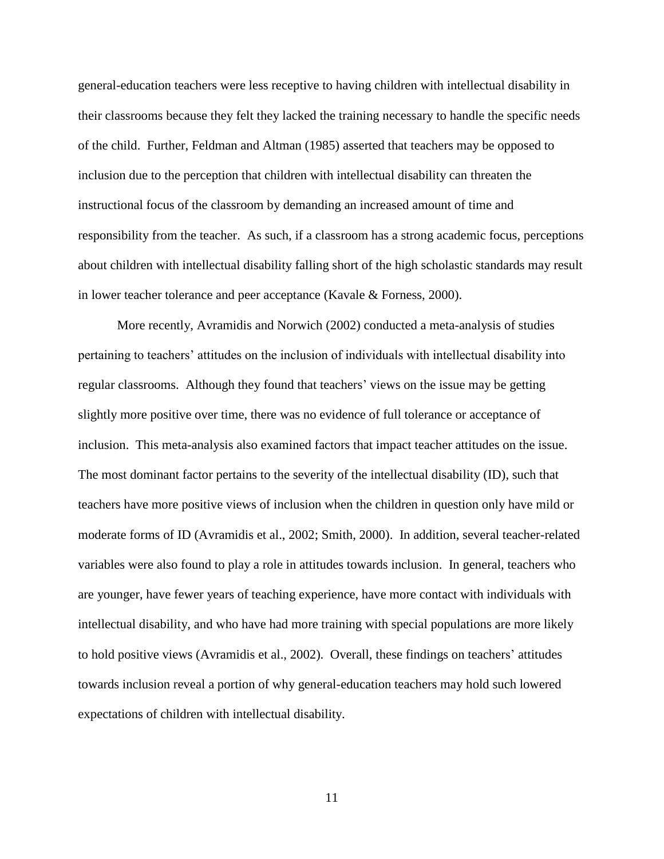general-education teachers were less receptive to having children with intellectual disability in their classrooms because they felt they lacked the training necessary to handle the specific needs of the child. Further, Feldman and Altman (1985) asserted that teachers may be opposed to inclusion due to the perception that children with intellectual disability can threaten the instructional focus of the classroom by demanding an increased amount of time and responsibility from the teacher. As such, if a classroom has a strong academic focus, perceptions about children with intellectual disability falling short of the high scholastic standards may result in lower teacher tolerance and peer acceptance (Kavale & Forness, 2000).

More recently, Avramidis and Norwich (2002) conducted a meta-analysis of studies pertaining to teachers' attitudes on the inclusion of individuals with intellectual disability into regular classrooms. Although they found that teachers' views on the issue may be getting slightly more positive over time, there was no evidence of full tolerance or acceptance of inclusion. This meta-analysis also examined factors that impact teacher attitudes on the issue. The most dominant factor pertains to the severity of the intellectual disability (ID), such that teachers have more positive views of inclusion when the children in question only have mild or moderate forms of ID (Avramidis et al., 2002; Smith, 2000). In addition, several teacher-related variables were also found to play a role in attitudes towards inclusion. In general, teachers who are younger, have fewer years of teaching experience, have more contact with individuals with intellectual disability, and who have had more training with special populations are more likely to hold positive views (Avramidis et al., 2002). Overall, these findings on teachers' attitudes towards inclusion reveal a portion of why general-education teachers may hold such lowered expectations of children with intellectual disability.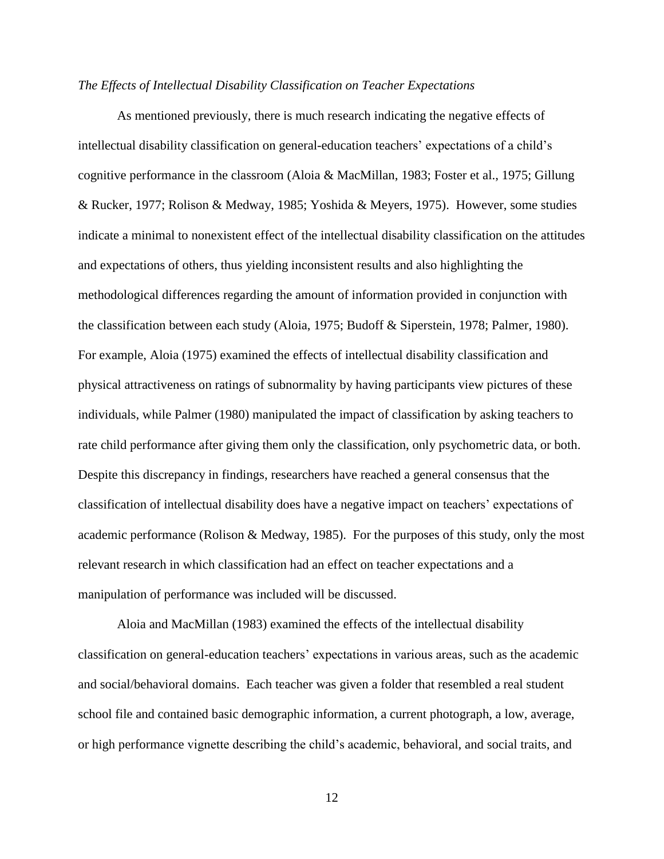#### *The Effects of Intellectual Disability Classification on Teacher Expectations*

As mentioned previously, there is much research indicating the negative effects of intellectual disability classification on general-education teachers' expectations of a child's cognitive performance in the classroom (Aloia & MacMillan, 1983; Foster et al., 1975; Gillung & Rucker, 1977; Rolison & Medway, 1985; Yoshida & Meyers, 1975). However, some studies indicate a minimal to nonexistent effect of the intellectual disability classification on the attitudes and expectations of others, thus yielding inconsistent results and also highlighting the methodological differences regarding the amount of information provided in conjunction with the classification between each study (Aloia, 1975; Budoff & Siperstein, 1978; Palmer, 1980). For example, Aloia (1975) examined the effects of intellectual disability classification and physical attractiveness on ratings of subnormality by having participants view pictures of these individuals, while Palmer (1980) manipulated the impact of classification by asking teachers to rate child performance after giving them only the classification, only psychometric data, or both. Despite this discrepancy in findings, researchers have reached a general consensus that the classification of intellectual disability does have a negative impact on teachers' expectations of academic performance (Rolison & Medway, 1985). For the purposes of this study, only the most relevant research in which classification had an effect on teacher expectations and a manipulation of performance was included will be discussed.

Aloia and MacMillan (1983) examined the effects of the intellectual disability classification on general-education teachers' expectations in various areas, such as the academic and social/behavioral domains. Each teacher was given a folder that resembled a real student school file and contained basic demographic information, a current photograph, a low, average, or high performance vignette describing the child's academic, behavioral, and social traits, and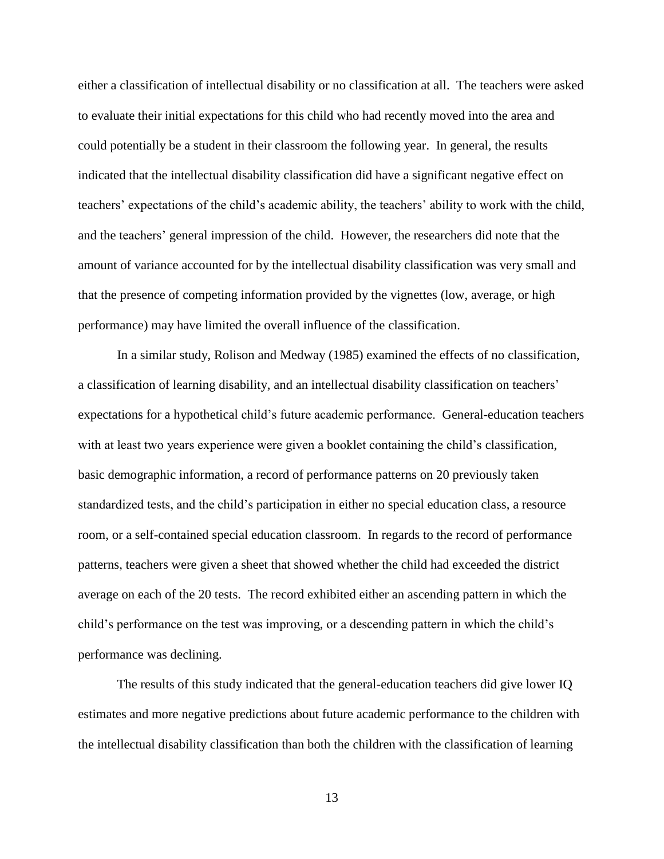either a classification of intellectual disability or no classification at all. The teachers were asked to evaluate their initial expectations for this child who had recently moved into the area and could potentially be a student in their classroom the following year. In general, the results indicated that the intellectual disability classification did have a significant negative effect on teachers' expectations of the child's academic ability, the teachers' ability to work with the child, and the teachers' general impression of the child. However, the researchers did note that the amount of variance accounted for by the intellectual disability classification was very small and that the presence of competing information provided by the vignettes (low, average, or high performance) may have limited the overall influence of the classification.

In a similar study, Rolison and Medway (1985) examined the effects of no classification, a classification of learning disability, and an intellectual disability classification on teachers' expectations for a hypothetical child's future academic performance. General-education teachers with at least two years experience were given a booklet containing the child's classification, basic demographic information, a record of performance patterns on 20 previously taken standardized tests, and the child's participation in either no special education class, a resource room, or a self-contained special education classroom. In regards to the record of performance patterns, teachers were given a sheet that showed whether the child had exceeded the district average on each of the 20 tests. The record exhibited either an ascending pattern in which the child's performance on the test was improving, or a descending pattern in which the child's performance was declining.

The results of this study indicated that the general-education teachers did give lower IQ estimates and more negative predictions about future academic performance to the children with the intellectual disability classification than both the children with the classification of learning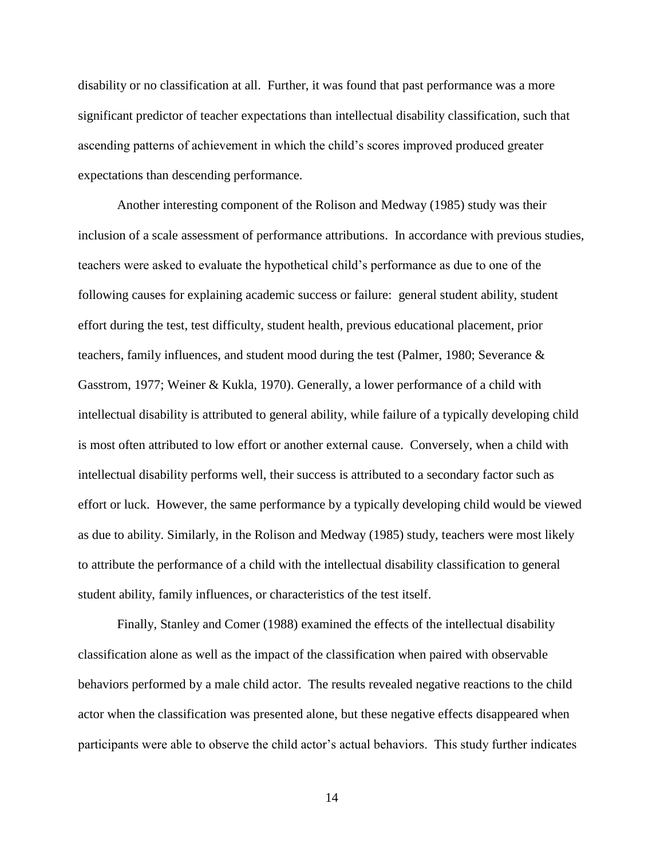disability or no classification at all. Further, it was found that past performance was a more significant predictor of teacher expectations than intellectual disability classification, such that ascending patterns of achievement in which the child's scores improved produced greater expectations than descending performance.

Another interesting component of the Rolison and Medway (1985) study was their inclusion of a scale assessment of performance attributions. In accordance with previous studies, teachers were asked to evaluate the hypothetical child's performance as due to one of the following causes for explaining academic success or failure: general student ability, student effort during the test, test difficulty, student health, previous educational placement, prior teachers, family influences, and student mood during the test (Palmer, 1980; Severance & Gasstrom, 1977; Weiner & Kukla, 1970). Generally, a lower performance of a child with intellectual disability is attributed to general ability, while failure of a typically developing child is most often attributed to low effort or another external cause. Conversely, when a child with intellectual disability performs well, their success is attributed to a secondary factor such as effort or luck. However, the same performance by a typically developing child would be viewed as due to ability. Similarly, in the Rolison and Medway (1985) study, teachers were most likely to attribute the performance of a child with the intellectual disability classification to general student ability, family influences, or characteristics of the test itself.

Finally, Stanley and Comer (1988) examined the effects of the intellectual disability classification alone as well as the impact of the classification when paired with observable behaviors performed by a male child actor. The results revealed negative reactions to the child actor when the classification was presented alone, but these negative effects disappeared when participants were able to observe the child actor's actual behaviors. This study further indicates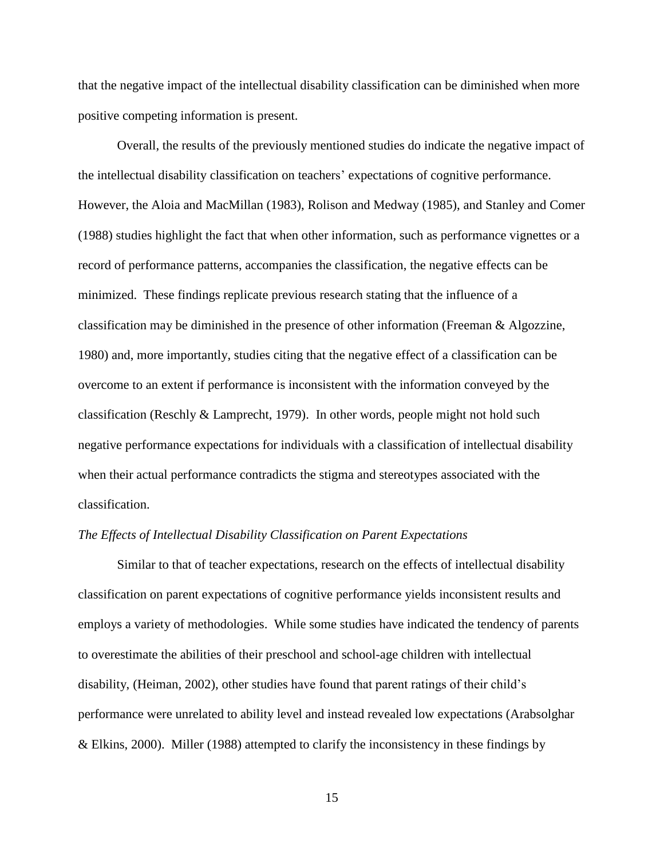that the negative impact of the intellectual disability classification can be diminished when more positive competing information is present.

Overall, the results of the previously mentioned studies do indicate the negative impact of the intellectual disability classification on teachers' expectations of cognitive performance. However, the Aloia and MacMillan (1983), Rolison and Medway (1985), and Stanley and Comer (1988) studies highlight the fact that when other information, such as performance vignettes or a record of performance patterns, accompanies the classification, the negative effects can be minimized. These findings replicate previous research stating that the influence of a classification may be diminished in the presence of other information (Freeman & Algozzine, 1980) and, more importantly, studies citing that the negative effect of a classification can be overcome to an extent if performance is inconsistent with the information conveyed by the classification (Reschly  $&$  Lamprecht, 1979). In other words, people might not hold such negative performance expectations for individuals with a classification of intellectual disability when their actual performance contradicts the stigma and stereotypes associated with the classification.

#### *The Effects of Intellectual Disability Classification on Parent Expectations*

Similar to that of teacher expectations, research on the effects of intellectual disability classification on parent expectations of cognitive performance yields inconsistent results and employs a variety of methodologies. While some studies have indicated the tendency of parents to overestimate the abilities of their preschool and school-age children with intellectual disability, (Heiman, 2002), other studies have found that parent ratings of their child's performance were unrelated to ability level and instead revealed low expectations (Arabsolghar & Elkins, 2000). Miller (1988) attempted to clarify the inconsistency in these findings by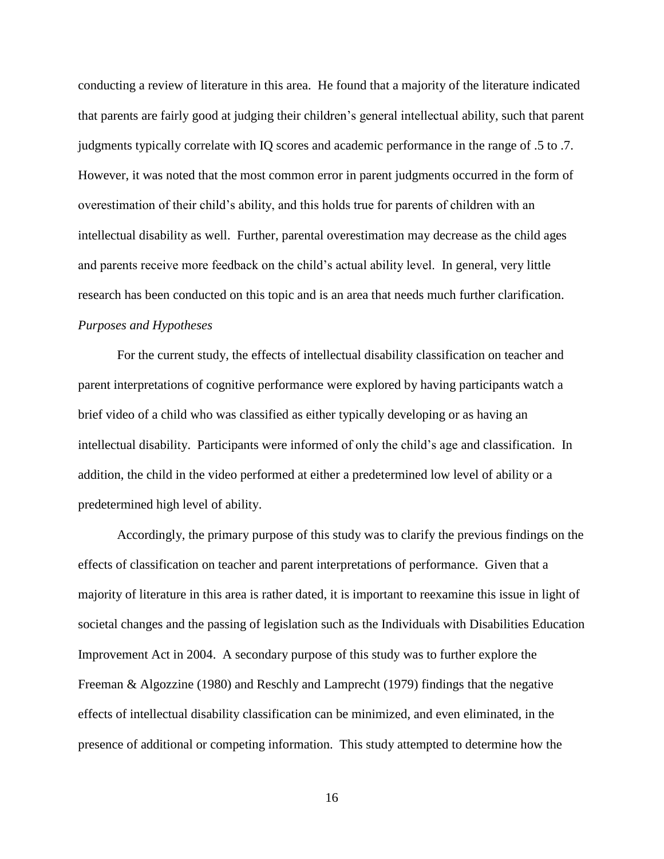conducting a review of literature in this area. He found that a majority of the literature indicated that parents are fairly good at judging their children's general intellectual ability, such that parent judgments typically correlate with IQ scores and academic performance in the range of .5 to .7. However, it was noted that the most common error in parent judgments occurred in the form of overestimation of their child's ability, and this holds true for parents of children with an intellectual disability as well. Further, parental overestimation may decrease as the child ages and parents receive more feedback on the child's actual ability level. In general, very little research has been conducted on this topic and is an area that needs much further clarification. *Purposes and Hypotheses*

For the current study, the effects of intellectual disability classification on teacher and parent interpretations of cognitive performance were explored by having participants watch a brief video of a child who was classified as either typically developing or as having an intellectual disability. Participants were informed of only the child's age and classification. In addition, the child in the video performed at either a predetermined low level of ability or a predetermined high level of ability.

Accordingly, the primary purpose of this study was to clarify the previous findings on the effects of classification on teacher and parent interpretations of performance. Given that a majority of literature in this area is rather dated, it is important to reexamine this issue in light of societal changes and the passing of legislation such as the Individuals with Disabilities Education Improvement Act in 2004. A secondary purpose of this study was to further explore the Freeman & Algozzine (1980) and Reschly and Lamprecht (1979) findings that the negative effects of intellectual disability classification can be minimized, and even eliminated, in the presence of additional or competing information. This study attempted to determine how the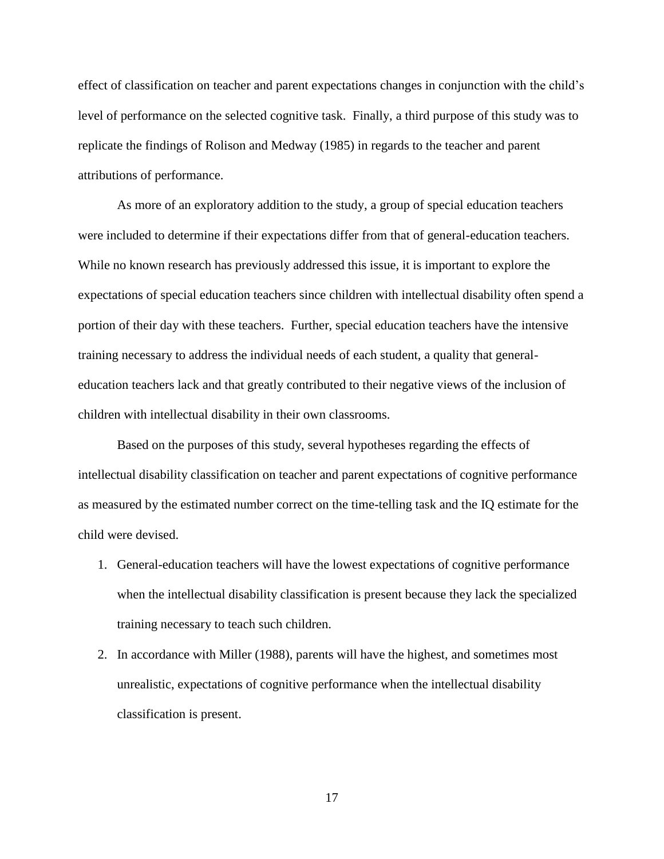effect of classification on teacher and parent expectations changes in conjunction with the child's level of performance on the selected cognitive task. Finally, a third purpose of this study was to replicate the findings of Rolison and Medway (1985) in regards to the teacher and parent attributions of performance.

As more of an exploratory addition to the study, a group of special education teachers were included to determine if their expectations differ from that of general-education teachers. While no known research has previously addressed this issue, it is important to explore the expectations of special education teachers since children with intellectual disability often spend a portion of their day with these teachers. Further, special education teachers have the intensive training necessary to address the individual needs of each student, a quality that generaleducation teachers lack and that greatly contributed to their negative views of the inclusion of children with intellectual disability in their own classrooms.

Based on the purposes of this study, several hypotheses regarding the effects of intellectual disability classification on teacher and parent expectations of cognitive performance as measured by the estimated number correct on the time-telling task and the IQ estimate for the child were devised.

- 1. General-education teachers will have the lowest expectations of cognitive performance when the intellectual disability classification is present because they lack the specialized training necessary to teach such children.
- 2. In accordance with Miller (1988), parents will have the highest, and sometimes most unrealistic, expectations of cognitive performance when the intellectual disability classification is present.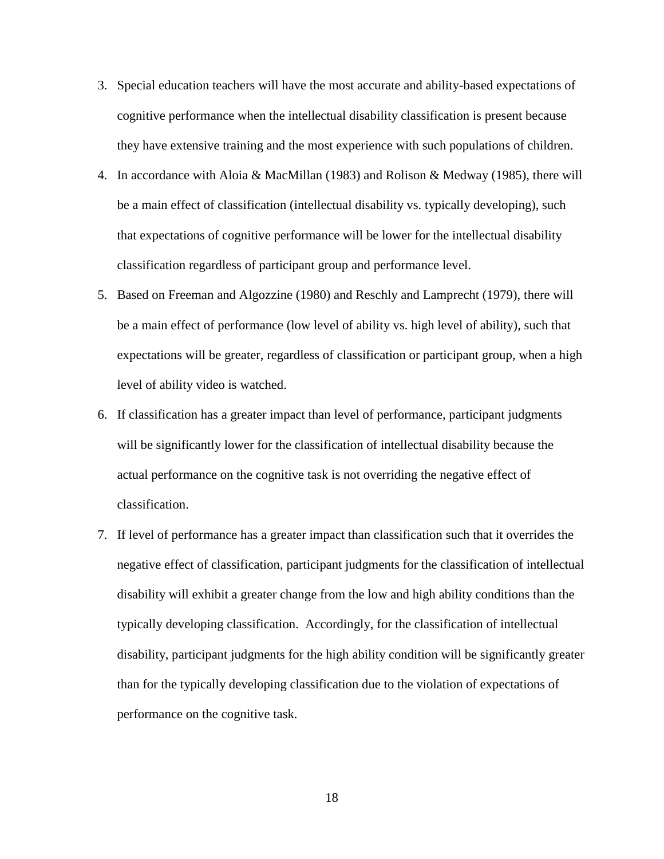- 3. Special education teachers will have the most accurate and ability-based expectations of cognitive performance when the intellectual disability classification is present because they have extensive training and the most experience with such populations of children.
- 4. In accordance with Aloia & MacMillan (1983) and Rolison & Medway (1985), there will be a main effect of classification (intellectual disability vs. typically developing), such that expectations of cognitive performance will be lower for the intellectual disability classification regardless of participant group and performance level.
- 5. Based on Freeman and Algozzine (1980) and Reschly and Lamprecht (1979), there will be a main effect of performance (low level of ability vs. high level of ability), such that expectations will be greater, regardless of classification or participant group, when a high level of ability video is watched.
- 6. If classification has a greater impact than level of performance, participant judgments will be significantly lower for the classification of intellectual disability because the actual performance on the cognitive task is not overriding the negative effect of classification.
- 7. If level of performance has a greater impact than classification such that it overrides the negative effect of classification, participant judgments for the classification of intellectual disability will exhibit a greater change from the low and high ability conditions than the typically developing classification. Accordingly, for the classification of intellectual disability, participant judgments for the high ability condition will be significantly greater than for the typically developing classification due to the violation of expectations of performance on the cognitive task.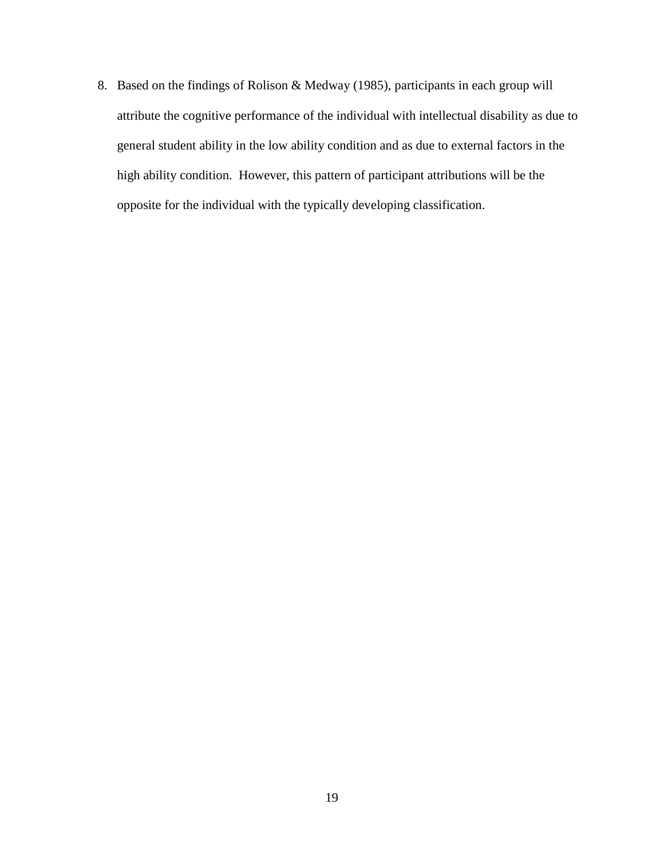8. Based on the findings of Rolison & Medway (1985), participants in each group will attribute the cognitive performance of the individual with intellectual disability as due to general student ability in the low ability condition and as due to external factors in the high ability condition. However, this pattern of participant attributions will be the opposite for the individual with the typically developing classification.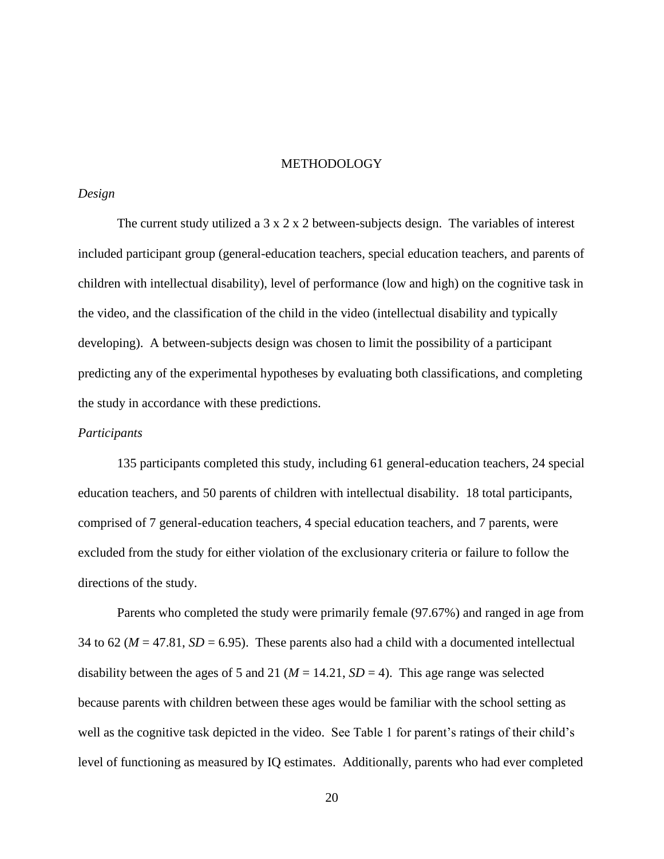#### METHODOLOGY

#### *Design*

The current study utilized a  $3 \times 2 \times 2$  between-subjects design. The variables of interest included participant group (general-education teachers, special education teachers, and parents of children with intellectual disability), level of performance (low and high) on the cognitive task in the video, and the classification of the child in the video (intellectual disability and typically developing). A between-subjects design was chosen to limit the possibility of a participant predicting any of the experimental hypotheses by evaluating both classifications, and completing the study in accordance with these predictions.

#### *Participants*

135 participants completed this study, including 61 general-education teachers, 24 special education teachers, and 50 parents of children with intellectual disability. 18 total participants, comprised of 7 general-education teachers, 4 special education teachers, and 7 parents, were excluded from the study for either violation of the exclusionary criteria or failure to follow the directions of the study.

Parents who completed the study were primarily female (97.67%) and ranged in age from 34 to 62 ( $M = 47.81$ ,  $SD = 6.95$ ). These parents also had a child with a documented intellectual disability between the ages of 5 and 21 ( $M = 14.21$ ,  $SD = 4$ ). This age range was selected because parents with children between these ages would be familiar with the school setting as well as the cognitive task depicted in the video. See Table 1 for parent's ratings of their child's level of functioning as measured by IQ estimates. Additionally, parents who had ever completed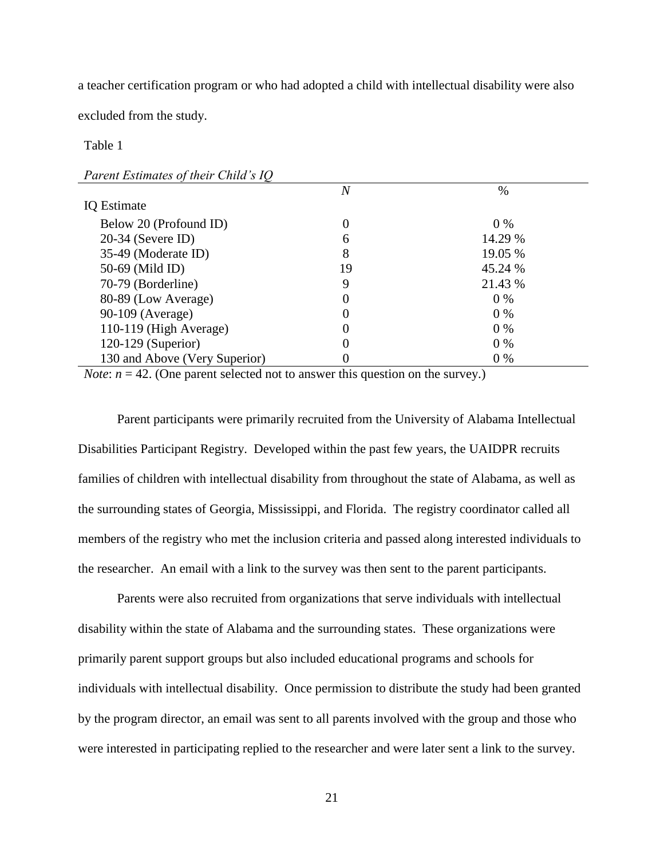a teacher certification program or who had adopted a child with intellectual disability were also

excluded from the study.

#### Table 1

|  | Parent Estimates of their Child's IQ |  |  |
|--|--------------------------------------|--|--|
|--|--------------------------------------|--|--|

|                               | $\overline{N}$ | $\%$    |
|-------------------------------|----------------|---------|
| <b>IQ</b> Estimate            |                |         |
| Below 20 (Profound ID)        | 0              | $0\%$   |
| $20-34$ (Severe ID)           | 6              | 14.29 % |
| 35-49 (Moderate ID)           | 8              | 19.05 % |
| 50-69 (Mild ID)               | 19             | 45.24 % |
| 70-79 (Borderline)            | 9              | 21.43 % |
| 80-89 (Low Average)           | 0              | $0\%$   |
| 90-109 (Average)              | 0              | $0\%$   |
| 110-119 (High Average)        | 0              | $0\%$   |
| 120-129 (Superior)            | 0              | $0\%$   |
| 130 and Above (Very Superior) |                | $0\%$   |

*Note*:  $n = 42$ . (One parent selected not to answer this question on the survey.)

Parent participants were primarily recruited from the University of Alabama Intellectual Disabilities Participant Registry. Developed within the past few years, the UAIDPR recruits families of children with intellectual disability from throughout the state of Alabama, as well as the surrounding states of Georgia, Mississippi, and Florida. The registry coordinator called all members of the registry who met the inclusion criteria and passed along interested individuals to the researcher. An email with a link to the survey was then sent to the parent participants.

Parents were also recruited from organizations that serve individuals with intellectual disability within the state of Alabama and the surrounding states. These organizations were primarily parent support groups but also included educational programs and schools for individuals with intellectual disability. Once permission to distribute the study had been granted by the program director, an email was sent to all parents involved with the group and those who were interested in participating replied to the researcher and were later sent a link to the survey.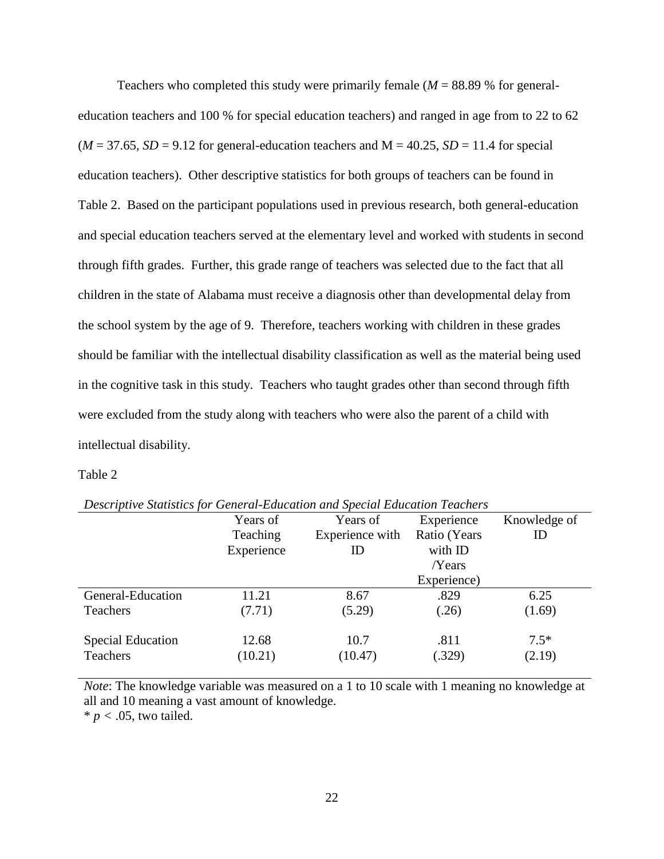Teachers who completed this study were primarily female  $(M = 88.89\%$  for generaleducation teachers and 100 % for special education teachers) and ranged in age from to 22 to 62  $(M = 37.65, SD = 9.12$  for general-education teachers and  $M = 40.25, SD = 11.4$  for special education teachers). Other descriptive statistics for both groups of teachers can be found in Table 2. Based on the participant populations used in previous research, both general-education and special education teachers served at the elementary level and worked with students in second through fifth grades. Further, this grade range of teachers was selected due to the fact that all children in the state of Alabama must receive a diagnosis other than developmental delay from the school system by the age of 9. Therefore, teachers working with children in these grades should be familiar with the intellectual disability classification as well as the material being used in the cognitive task in this study. Teachers who taught grades other than second through fifth were excluded from the study along with teachers who were also the parent of a child with intellectual disability.

#### Table 2

|                          | Years of   | Years of        | Experience   | Knowledge of |
|--------------------------|------------|-----------------|--------------|--------------|
|                          | Teaching   | Experience with | Ratio (Years | ID           |
|                          | Experience | ID              | with ID      |              |
|                          |            |                 | Years        |              |
|                          |            |                 | Experience)  |              |
| General-Education        | 11.21      | 8.67            | .829         | 6.25         |
| Teachers                 | (7.71)     | (5.29)          | (.26)        | (1.69)       |
| <b>Special Education</b> | 12.68      | 10.7            | .811         | $7.5*$       |
| Teachers                 | (10.21)    | (10.47)         | (.329)       | (2.19)       |

*Descriptive Statistics for General-Education and Special Education Teachers* 

*Note*: The knowledge variable was measured on a 1 to 10 scale with 1 meaning no knowledge at all and 10 meaning a vast amount of knowledge.

 $* p < .05$ , two tailed.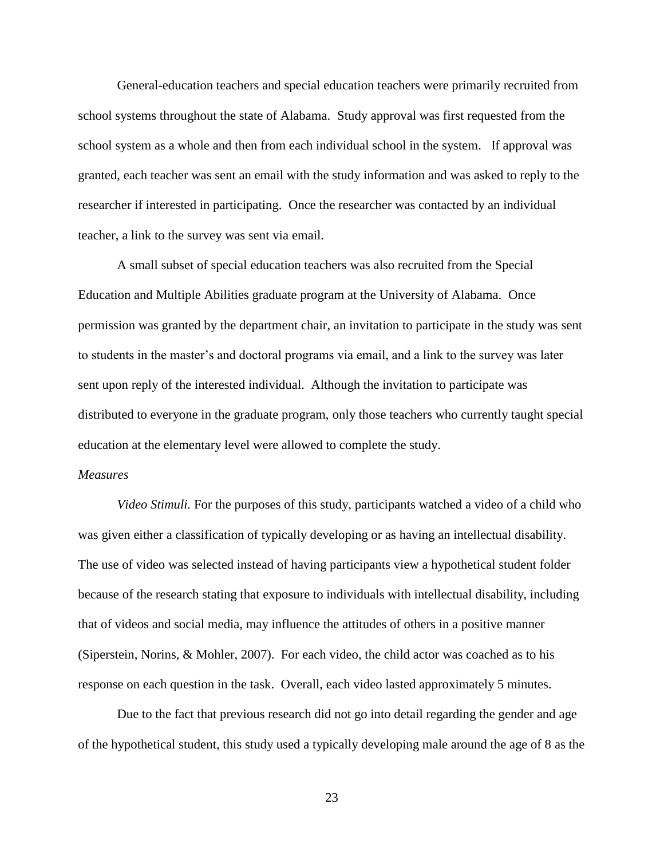General-education teachers and special education teachers were primarily recruited from school systems throughout the state of Alabama. Study approval was first requested from the school system as a whole and then from each individual school in the system. If approval was granted, each teacher was sent an email with the study information and was asked to reply to the researcher if interested in participating. Once the researcher was contacted by an individual teacher, a link to the survey was sent via email.

A small subset of special education teachers was also recruited from the Special Education and Multiple Abilities graduate program at the University of Alabama. Once permission was granted by the department chair, an invitation to participate in the study was sent to students in the master's and doctoral programs via email, and a link to the survey was later sent upon reply of the interested individual. Although the invitation to participate was distributed to everyone in the graduate program, only those teachers who currently taught special education at the elementary level were allowed to complete the study.

#### *Measures*

*Video Stimuli.* For the purposes of this study, participants watched a video of a child who was given either a classification of typically developing or as having an intellectual disability. The use of video was selected instead of having participants view a hypothetical student folder because of the research stating that exposure to individuals with intellectual disability, including that of videos and social media, may influence the attitudes of others in a positive manner (Siperstein, Norins, & Mohler, 2007). For each video, the child actor was coached as to his response on each question in the task. Overall, each video lasted approximately 5 minutes.

Due to the fact that previous research did not go into detail regarding the gender and age of the hypothetical student, this study used a typically developing male around the age of 8 as the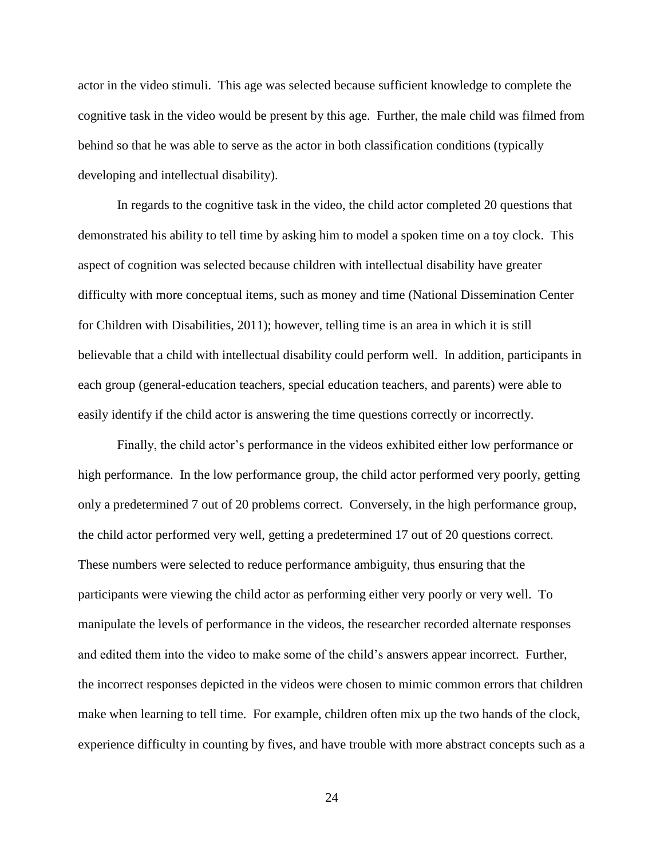actor in the video stimuli. This age was selected because sufficient knowledge to complete the cognitive task in the video would be present by this age. Further, the male child was filmed from behind so that he was able to serve as the actor in both classification conditions (typically developing and intellectual disability).

In regards to the cognitive task in the video, the child actor completed 20 questions that demonstrated his ability to tell time by asking him to model a spoken time on a toy clock. This aspect of cognition was selected because children with intellectual disability have greater difficulty with more conceptual items, such as money and time (National Dissemination Center for Children with Disabilities, 2011); however, telling time is an area in which it is still believable that a child with intellectual disability could perform well. In addition, participants in each group (general-education teachers, special education teachers, and parents) were able to easily identify if the child actor is answering the time questions correctly or incorrectly.

Finally, the child actor's performance in the videos exhibited either low performance or high performance. In the low performance group, the child actor performed very poorly, getting only a predetermined 7 out of 20 problems correct. Conversely, in the high performance group, the child actor performed very well, getting a predetermined 17 out of 20 questions correct. These numbers were selected to reduce performance ambiguity, thus ensuring that the participants were viewing the child actor as performing either very poorly or very well. To manipulate the levels of performance in the videos, the researcher recorded alternate responses and edited them into the video to make some of the child's answers appear incorrect. Further, the incorrect responses depicted in the videos were chosen to mimic common errors that children make when learning to tell time. For example, children often mix up the two hands of the clock, experience difficulty in counting by fives, and have trouble with more abstract concepts such as a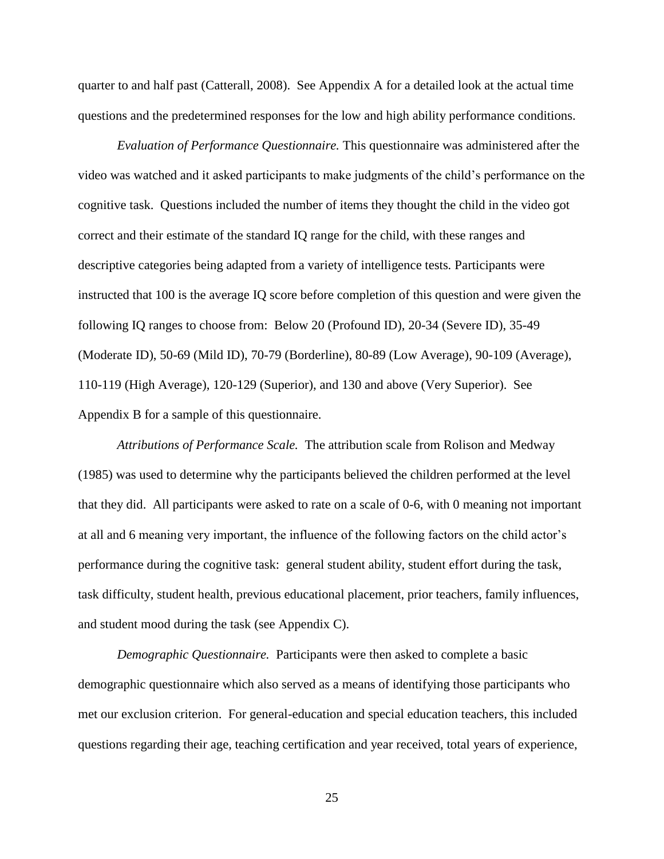quarter to and half past (Catterall, 2008). See Appendix A for a detailed look at the actual time questions and the predetermined responses for the low and high ability performance conditions.

*Evaluation of Performance Questionnaire.* This questionnaire was administered after the video was watched and it asked participants to make judgments of the child's performance on the cognitive task. Questions included the number of items they thought the child in the video got correct and their estimate of the standard IQ range for the child, with these ranges and descriptive categories being adapted from a variety of intelligence tests*.* Participants were instructed that 100 is the average IQ score before completion of this question and were given the following IQ ranges to choose from: Below 20 (Profound ID), 20-34 (Severe ID), 35-49 (Moderate ID), 50-69 (Mild ID), 70-79 (Borderline), 80-89 (Low Average), 90-109 (Average), 110-119 (High Average), 120-129 (Superior), and 130 and above (Very Superior). See Appendix B for a sample of this questionnaire.

*Attributions of Performance Scale.* The attribution scale from Rolison and Medway (1985) was used to determine why the participants believed the children performed at the level that they did. All participants were asked to rate on a scale of 0-6, with 0 meaning not important at all and 6 meaning very important, the influence of the following factors on the child actor's performance during the cognitive task: general student ability, student effort during the task, task difficulty, student health, previous educational placement, prior teachers, family influences, and student mood during the task (see Appendix C).

*Demographic Questionnaire.* Participants were then asked to complete a basic demographic questionnaire which also served as a means of identifying those participants who met our exclusion criterion. For general-education and special education teachers, this included questions regarding their age, teaching certification and year received, total years of experience,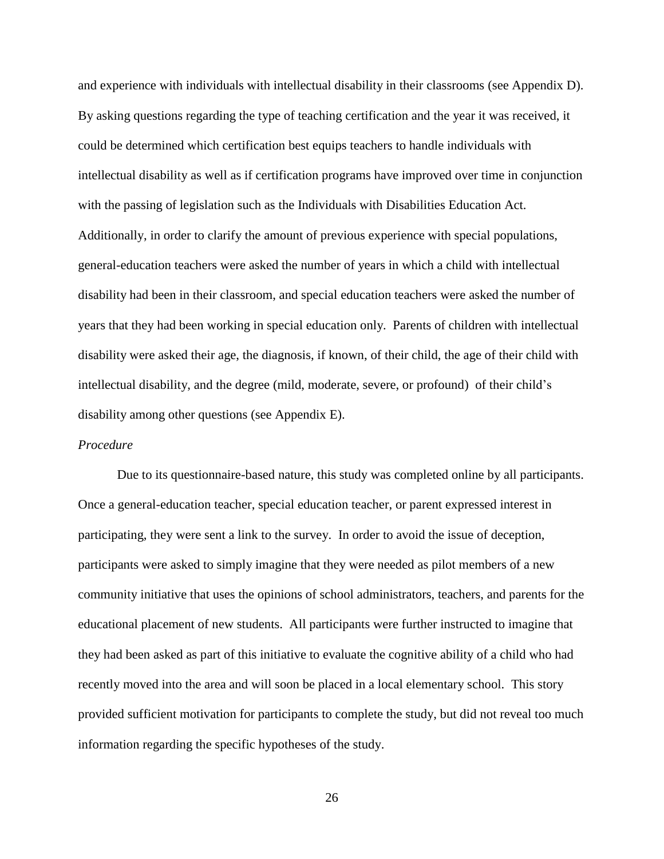and experience with individuals with intellectual disability in their classrooms (see Appendix D). By asking questions regarding the type of teaching certification and the year it was received, it could be determined which certification best equips teachers to handle individuals with intellectual disability as well as if certification programs have improved over time in conjunction with the passing of legislation such as the Individuals with Disabilities Education Act. Additionally, in order to clarify the amount of previous experience with special populations, general-education teachers were asked the number of years in which a child with intellectual disability had been in their classroom, and special education teachers were asked the number of years that they had been working in special education only. Parents of children with intellectual disability were asked their age, the diagnosis, if known, of their child, the age of their child with intellectual disability, and the degree (mild, moderate, severe, or profound) of their child's disability among other questions (see Appendix E).

#### *Procedure*

Due to its questionnaire-based nature, this study was completed online by all participants. Once a general-education teacher, special education teacher, or parent expressed interest in participating, they were sent a link to the survey. In order to avoid the issue of deception, participants were asked to simply imagine that they were needed as pilot members of a new community initiative that uses the opinions of school administrators, teachers, and parents for the educational placement of new students. All participants were further instructed to imagine that they had been asked as part of this initiative to evaluate the cognitive ability of a child who had recently moved into the area and will soon be placed in a local elementary school. This story provided sufficient motivation for participants to complete the study, but did not reveal too much information regarding the specific hypotheses of the study.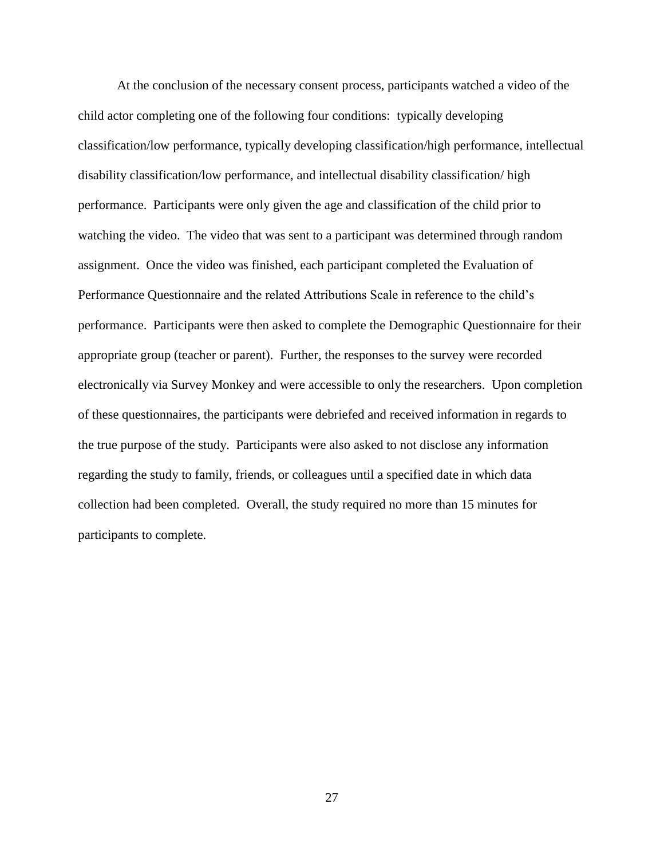At the conclusion of the necessary consent process, participants watched a video of the child actor completing one of the following four conditions: typically developing classification/low performance, typically developing classification/high performance, intellectual disability classification/low performance, and intellectual disability classification/ high performance. Participants were only given the age and classification of the child prior to watching the video. The video that was sent to a participant was determined through random assignment. Once the video was finished, each participant completed the Evaluation of Performance Questionnaire and the related Attributions Scale in reference to the child's performance. Participants were then asked to complete the Demographic Questionnaire for their appropriate group (teacher or parent). Further, the responses to the survey were recorded electronically via Survey Monkey and were accessible to only the researchers. Upon completion of these questionnaires, the participants were debriefed and received information in regards to the true purpose of the study. Participants were also asked to not disclose any information regarding the study to family, friends, or colleagues until a specified date in which data collection had been completed. Overall, the study required no more than 15 minutes for participants to complete.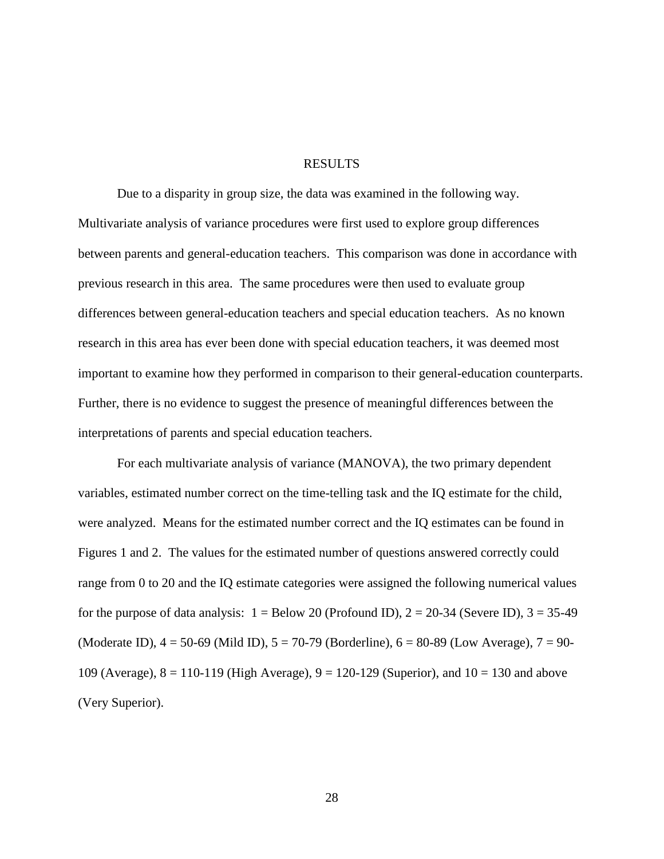#### RESULTS

Due to a disparity in group size, the data was examined in the following way. Multivariate analysis of variance procedures were first used to explore group differences between parents and general-education teachers. This comparison was done in accordance with previous research in this area. The same procedures were then used to evaluate group differences between general-education teachers and special education teachers. As no known research in this area has ever been done with special education teachers, it was deemed most important to examine how they performed in comparison to their general-education counterparts. Further, there is no evidence to suggest the presence of meaningful differences between the interpretations of parents and special education teachers.

For each multivariate analysis of variance (MANOVA), the two primary dependent variables, estimated number correct on the time-telling task and the IQ estimate for the child, were analyzed. Means for the estimated number correct and the IQ estimates can be found in Figures 1 and 2. The values for the estimated number of questions answered correctly could range from 0 to 20 and the IQ estimate categories were assigned the following numerical values for the purpose of data analysis:  $1 =$  Below 20 (Profound ID),  $2 = 20-34$  (Severe ID),  $3 = 35-49$ (Moderate ID),  $4 = 50-69$  (Mild ID),  $5 = 70-79$  (Borderline),  $6 = 80-89$  (Low Average),  $7 = 90-$ 109 (Average),  $8 = 110-119$  (High Average),  $9 = 120-129$  (Superior), and  $10 = 130$  and above (Very Superior).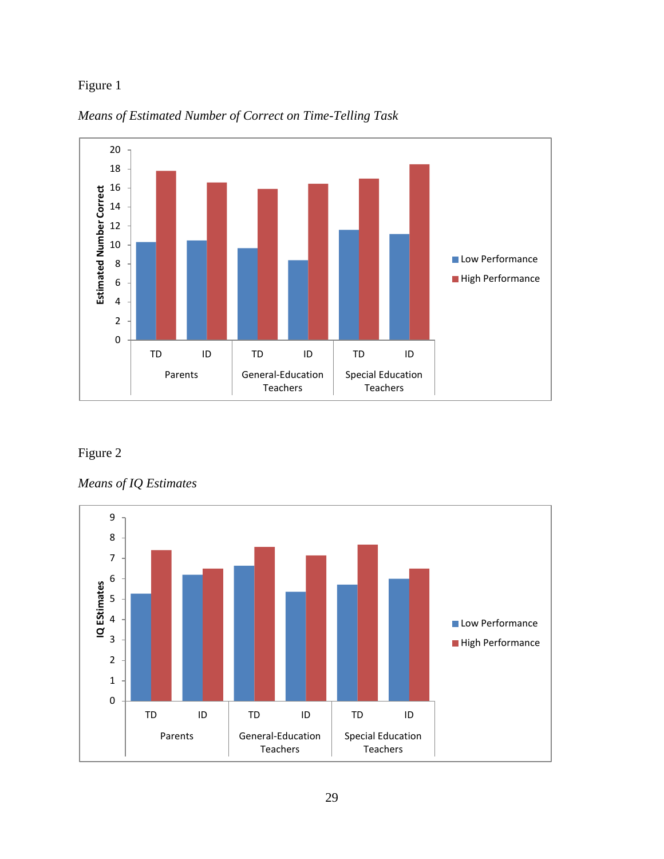# Figure 1





# Figure 2

*Means of IQ Estimates*

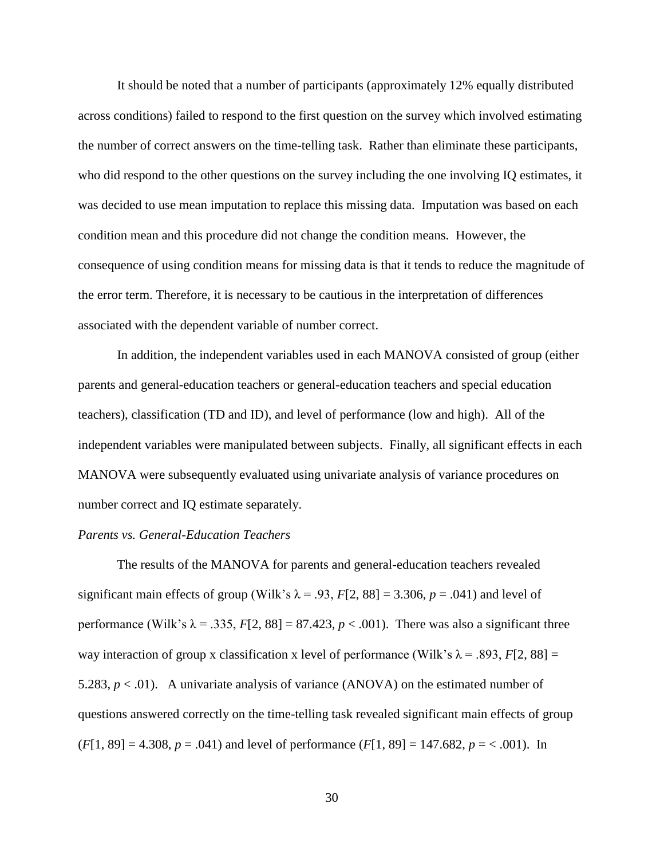It should be noted that a number of participants (approximately 12% equally distributed across conditions) failed to respond to the first question on the survey which involved estimating the number of correct answers on the time-telling task. Rather than eliminate these participants, who did respond to the other questions on the survey including the one involving IQ estimates, it was decided to use mean imputation to replace this missing data. Imputation was based on each condition mean and this procedure did not change the condition means. However, the consequence of using condition means for missing data is that it tends to reduce the magnitude of the error term. Therefore, it is necessary to be cautious in the interpretation of differences associated with the dependent variable of number correct.

In addition, the independent variables used in each MANOVA consisted of group (either parents and general-education teachers or general-education teachers and special education teachers), classification (TD and ID), and level of performance (low and high). All of the independent variables were manipulated between subjects. Finally, all significant effects in each MANOVA were subsequently evaluated using univariate analysis of variance procedures on number correct and IQ estimate separately.

### *Parents vs. General-Education Teachers*

The results of the MANOVA for parents and general-education teachers revealed significant main effects of group (Wilk's  $\lambda$  = .93, *F*[2, 88] = 3.306, *p* = .041) and level of performance (Wilk's  $\lambda$  = .335, *F*[2, 88] = 87.423, *p* < .001). There was also a significant three way interaction of group x classification x level of performance (Wilk's  $\lambda$  = .893, *F*[2, 88] = 5.283,  $p < .01$ ). A univariate analysis of variance (ANOVA) on the estimated number of questions answered correctly on the time-telling task revealed significant main effects of group  $(F[1, 89] = 4.308, p = .041)$  and level of performance  $(F[1, 89] = 147.682, p = < .001)$ . In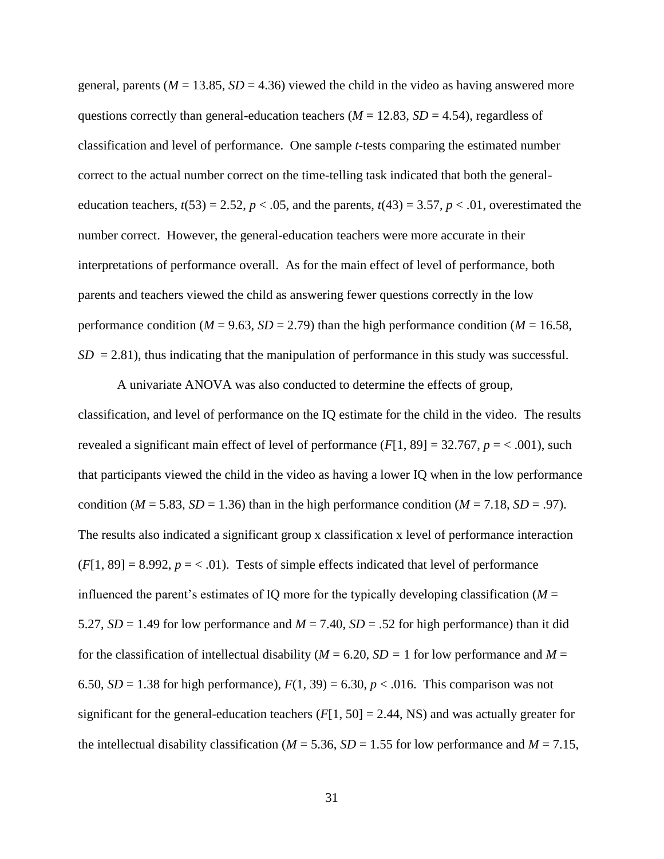general, parents ( $M = 13.85$ ,  $SD = 4.36$ ) viewed the child in the video as having answered more questions correctly than general-education teachers ( $M = 12.83$ ,  $SD = 4.54$ ), regardless of classification and level of performance. One sample *t*-tests comparing the estimated number correct to the actual number correct on the time-telling task indicated that both the generaleducation teachers,  $t(53) = 2.52$ ,  $p < .05$ , and the parents,  $t(43) = 3.57$ ,  $p < .01$ , overestimated the number correct. However, the general-education teachers were more accurate in their interpretations of performance overall. As for the main effect of level of performance, both parents and teachers viewed the child as answering fewer questions correctly in the low performance condition ( $M = 9.63$ ,  $SD = 2.79$ ) than the high performance condition ( $M = 16.58$ ,  $SD = 2.81$ ), thus indicating that the manipulation of performance in this study was successful.

A univariate ANOVA was also conducted to determine the effects of group, classification, and level of performance on the IQ estimate for the child in the video. The results revealed a significant main effect of level of performance  $(F[1, 89] = 32.767, p = < .001)$ , such that participants viewed the child in the video as having a lower IQ when in the low performance condition ( $M = 5.83$ ,  $SD = 1.36$ ) than in the high performance condition ( $M = 7.18$ ,  $SD = .97$ ). The results also indicated a significant group x classification x level of performance interaction  $(F[1, 89] = 8.992, p = < .01)$ . Tests of simple effects indicated that level of performance influenced the parent's estimates of IQ more for the typically developing classification ( $M =$ 5.27,  $SD = 1.49$  for low performance and  $M = 7.40$ ,  $SD = 0.52$  for high performance) than it did for the classification of intellectual disability ( $M = 6.20$ ,  $SD = 1$  for low performance and  $M =$ 6.50,  $SD = 1.38$  for high performance),  $F(1, 39) = 6.30$ ,  $p < .016$ . This comparison was not significant for the general-education teachers  $(F[1, 50] = 2.44, NS)$  and was actually greater for the intellectual disability classification ( $M = 5.36$ ,  $SD = 1.55$  for low performance and  $M = 7.15$ ,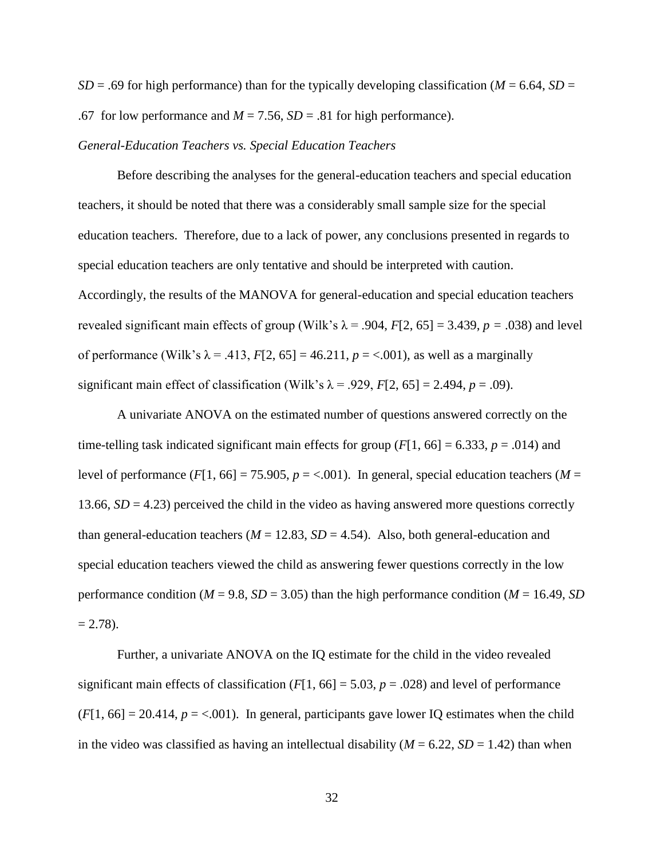*SD* = .69 for high performance) than for the typically developing classification ( $M = 6.64$ , *SD* = .67 for low performance and  $M = 7.56$ ,  $SD = .81$  for high performance).

#### *General-Education Teachers vs. Special Education Teachers*

Before describing the analyses for the general-education teachers and special education teachers, it should be noted that there was a considerably small sample size for the special education teachers. Therefore, due to a lack of power, any conclusions presented in regards to special education teachers are only tentative and should be interpreted with caution. Accordingly, the results of the MANOVA for general-education and special education teachers revealed significant main effects of group (Wilk's  $\lambda$  = .904, *F*[2, 65] = 3.439, *p* = .038) and level of performance (Wilk's  $\lambda = .413$ ,  $F[2, 65] = 46.211$ ,  $p = < .001$ ), as well as a marginally significant main effect of classification (Wilk's  $\lambda$  = .929, *F*[2, 65] = 2.494, *p* = .09).

A univariate ANOVA on the estimated number of questions answered correctly on the time-telling task indicated significant main effects for group  $(F[1, 66] = 6.333, p = .014)$  and level of performance  $(F[1, 66] = 75.905, p = <.001)$ . In general, special education teachers ( $M =$ 13.66,  $SD = 4.23$ ) perceived the child in the video as having answered more questions correctly than general-education teachers ( $M = 12.83$ ,  $SD = 4.54$ ). Also, both general-education and special education teachers viewed the child as answering fewer questions correctly in the low performance condition ( $M = 9.8$ ,  $SD = 3.05$ ) than the high performance condition ( $M = 16.49$ ,  $SD$ )  $= 2.78$ ).

Further, a univariate ANOVA on the IQ estimate for the child in the video revealed significant main effects of classification  $(F[1, 66] = 5.03, p = .028)$  and level of performance  $(F[1, 66] = 20.414, p = <.001)$ . In general, participants gave lower IQ estimates when the child in the video was classified as having an intellectual disability  $(M = 6.22, SD = 1.42)$  than when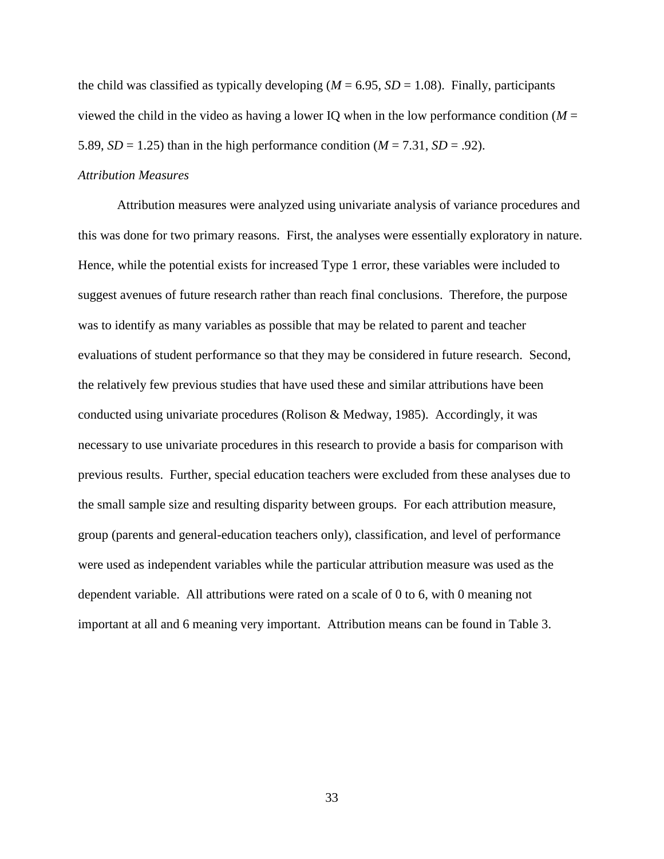the child was classified as typically developing ( $M = 6.95$ ,  $SD = 1.08$ ). Finally, participants viewed the child in the video as having a lower IQ when in the low performance condition ( $M =$ 5.89,  $SD = 1.25$ ) than in the high performance condition  $(M = 7.31, SD = .92)$ .

### *Attribution Measures*

Attribution measures were analyzed using univariate analysis of variance procedures and this was done for two primary reasons. First, the analyses were essentially exploratory in nature. Hence, while the potential exists for increased Type 1 error, these variables were included to suggest avenues of future research rather than reach final conclusions. Therefore, the purpose was to identify as many variables as possible that may be related to parent and teacher evaluations of student performance so that they may be considered in future research. Second, the relatively few previous studies that have used these and similar attributions have been conducted using univariate procedures (Rolison & Medway, 1985). Accordingly, it was necessary to use univariate procedures in this research to provide a basis for comparison with previous results. Further, special education teachers were excluded from these analyses due to the small sample size and resulting disparity between groups. For each attribution measure, group (parents and general-education teachers only), classification, and level of performance were used as independent variables while the particular attribution measure was used as the dependent variable. All attributions were rated on a scale of 0 to 6, with 0 meaning not important at all and 6 meaning very important. Attribution means can be found in Table 3.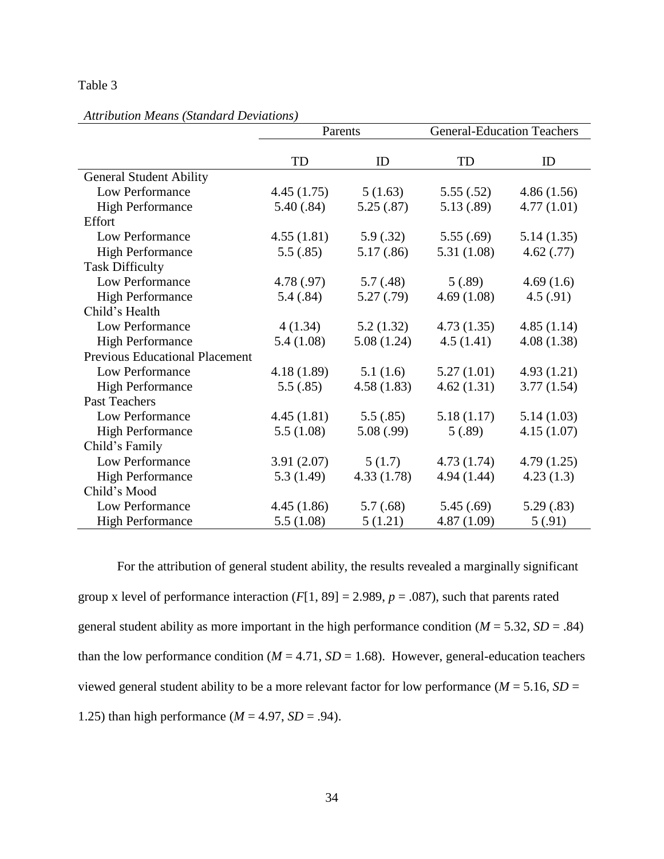### Table 3

|                                       |            | Parents    | <b>General-Education Teachers</b> |            |
|---------------------------------------|------------|------------|-----------------------------------|------------|
|                                       |            |            |                                   |            |
|                                       | TD         | ID         | TD                                | ID         |
| <b>General Student Ability</b>        |            |            |                                   |            |
| Low Performance                       | 4.45(1.75) | 5(1.63)    | 5.55(.52)                         | 4.86(1.56) |
| <b>High Performance</b>               | 5.40(.84)  | 5.25(.87)  | 5.13(.89)                         | 4.77(1.01) |
| Effort                                |            |            |                                   |            |
| Low Performance                       | 4.55(1.81) | 5.9(.32)   | 5.55(.69)                         | 5.14(1.35) |
| <b>High Performance</b>               | 5.5(.85)   | 5.17(.86)  | 5.31(1.08)                        | 4.62(0.77) |
| <b>Task Difficulty</b>                |            |            |                                   |            |
| Low Performance                       | 4.78 (.97) | 5.7(0.48)  | 5(.89)                            | 4.69(1.6)  |
| <b>High Performance</b>               | 5.4(.84)   | 5.27(.79)  | 4.69(1.08)                        | 4.5(.91)   |
| Child's Health                        |            |            |                                   |            |
| Low Performance                       | 4(1.34)    | 5.2(1.32)  | 4.73(1.35)                        | 4.85(1.14) |
| <b>High Performance</b>               | 5.4(1.08)  | 5.08(1.24) | 4.5(1.41)                         | 4.08(1.38) |
| <b>Previous Educational Placement</b> |            |            |                                   |            |
| Low Performance                       | 4.18(1.89) | 5.1(1.6)   | 5.27(1.01)                        | 4.93(1.21) |
| <b>High Performance</b>               | 5.5(.85)   | 4.58(1.83) | 4.62(1.31)                        | 3.77(1.54) |
| Past Teachers                         |            |            |                                   |            |
| Low Performance                       | 4.45(1.81) | 5.5(.85)   | 5.18(1.17)                        | 5.14(1.03) |
| <b>High Performance</b>               | 5.5(1.08)  | 5.08(.99)  | 5(.89)                            | 4.15(1.07) |
| Child's Family                        |            |            |                                   |            |
| Low Performance                       | 3.91(2.07) | 5(1.7)     | 4.73(1.74)                        | 4.79(1.25) |
| <b>High Performance</b>               | 5.3(1.49)  | 4.33(1.78) | 4.94(1.44)                        | 4.23(1.3)  |
| Child's Mood                          |            |            |                                   |            |
| Low Performance                       | 4.45(1.86) | 5.7(.68)   | 5.45(.69)                         | 5.29(.83)  |
| <b>High Performance</b>               | 5.5(1.08)  | 5(1.21)    | 4.87(1.09)                        | 5(0.91)    |

### *Attribution Means (Standard Deviations)*

For the attribution of general student ability, the results revealed a marginally significant group x level of performance interaction  $(F[1, 89] = 2.989, p = .087)$ , such that parents rated general student ability as more important in the high performance condition  $(M = 5.32, SD = .84)$ than the low performance condition ( $M = 4.71$ ,  $SD = 1.68$ ). However, general-education teachers viewed general student ability to be a more relevant factor for low performance ( $M = 5.16$ ,  $SD =$ 1.25) than high performance  $(M = 4.97, SD = .94)$ .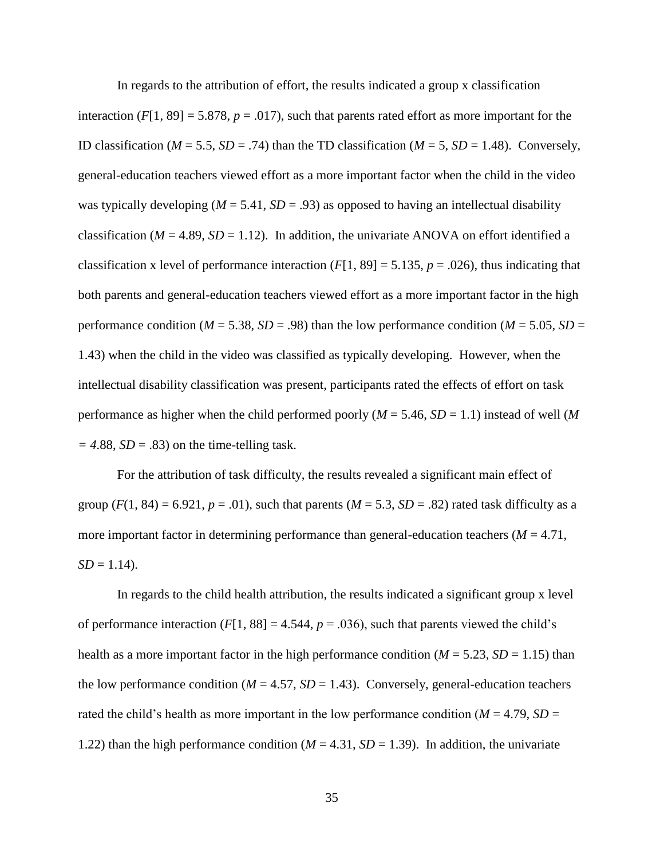In regards to the attribution of effort, the results indicated a group x classification interaction  $(F[1, 89] = 5.878, p = .017)$ , such that parents rated effort as more important for the ID classification ( $M = 5.5$ ,  $SD = .74$ ) than the TD classification ( $M = 5$ ,  $SD = 1.48$ ). Conversely, general-education teachers viewed effort as a more important factor when the child in the video was typically developing ( $M = 5.41$ ,  $SD = .93$ ) as opposed to having an intellectual disability classification ( $M = 4.89$ ,  $SD = 1.12$ ). In addition, the univariate ANOVA on effort identified a classification x level of performance interaction  $(F[1, 89] = 5.135, p = .026)$ , thus indicating that both parents and general-education teachers viewed effort as a more important factor in the high performance condition ( $M = 5.38$ ,  $SD = .98$ ) than the low performance condition ( $M = 5.05$ ,  $SD =$ 1.43) when the child in the video was classified as typically developing. However, when the intellectual disability classification was present, participants rated the effects of effort on task performance as higher when the child performed poorly (*M* = 5.46, *SD* = 1.1) instead of well (*M*  $= 4.88$ , *SD* = .83) on the time-telling task.

For the attribution of task difficulty, the results revealed a significant main effect of group  $(F(1, 84) = 6.921, p = .01)$ , such that parents  $(M = 5.3, SD = .82)$  rated task difficulty as a more important factor in determining performance than general-education teachers  $(M = 4.71)$ ,  $SD = 1.14$ .

In regards to the child health attribution, the results indicated a significant group x level of performance interaction  $(F[1, 88] = 4.544, p = .036)$ , such that parents viewed the child's health as a more important factor in the high performance condition ( $M = 5.23$ ,  $SD = 1.15$ ) than the low performance condition  $(M = 4.57, SD = 1.43)$ . Conversely, general-education teachers rated the child's health as more important in the low performance condition ( $M = 4.79$ ,  $SD =$ 1.22) than the high performance condition  $(M = 4.31, SD = 1.39)$ . In addition, the univariate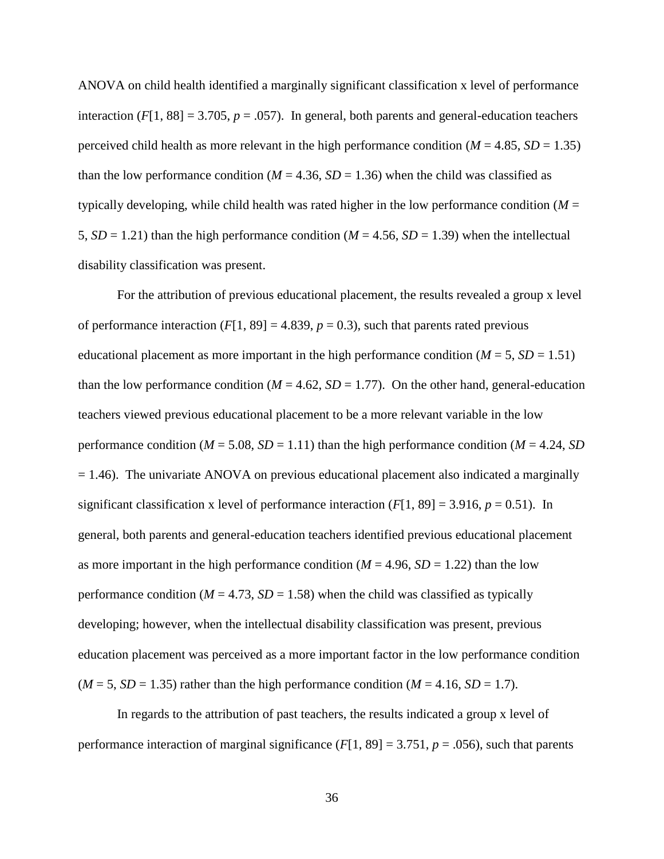ANOVA on child health identified a marginally significant classification x level of performance interaction  $(F[1, 88] = 3.705, p = .057)$ . In general, both parents and general-education teachers perceived child health as more relevant in the high performance condition ( $M = 4.85$ ,  $SD = 1.35$ ) than the low performance condition ( $M = 4.36$ ,  $SD = 1.36$ ) when the child was classified as typically developing, while child health was rated higher in the low performance condition  $(M =$ 5,  $SD = 1.21$ ) than the high performance condition ( $M = 4.56$ ,  $SD = 1.39$ ) when the intellectual disability classification was present.

For the attribution of previous educational placement, the results revealed a group x level of performance interaction  $(F[1, 89] = 4.839, p = 0.3)$ , such that parents rated previous educational placement as more important in the high performance condition  $(M = 5, SD = 1.51)$ than the low performance condition ( $M = 4.62$ ,  $SD = 1.77$ ). On the other hand, general-education teachers viewed previous educational placement to be a more relevant variable in the low performance condition ( $M = 5.08$ ,  $SD = 1.11$ ) than the high performance condition ( $M = 4.24$ ,  $SD$ )  $= 1.46$ ). The univariate ANOVA on previous educational placement also indicated a marginally significant classification x level of performance interaction  $(F[1, 89] = 3.916, p = 0.51)$ . In general, both parents and general-education teachers identified previous educational placement as more important in the high performance condition  $(M = 4.96, SD = 1.22)$  than the low performance condition ( $M = 4.73$ ,  $SD = 1.58$ ) when the child was classified as typically developing; however, when the intellectual disability classification was present, previous education placement was perceived as a more important factor in the low performance condition  $(M = 5, SD = 1.35)$  rather than the high performance condition  $(M = 4.16, SD = 1.7)$ .

In regards to the attribution of past teachers, the results indicated a group x level of performance interaction of marginal significance  $(F[1, 89] = 3.751, p = .056)$ , such that parents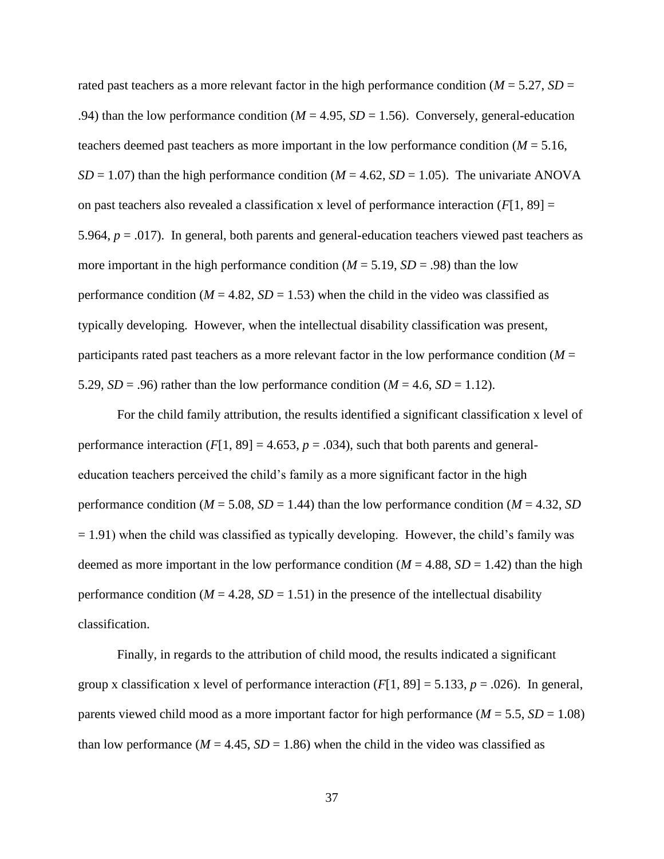rated past teachers as a more relevant factor in the high performance condition ( $M = 5.27$ ,  $SD =$ .94) than the low performance condition ( $M = 4.95$ ,  $SD = 1.56$ ). Conversely, general-education teachers deemed past teachers as more important in the low performance condition  $(M = 5.16$ ,  $SD = 1.07$ ) than the high performance condition ( $M = 4.62$ ,  $SD = 1.05$ ). The univariate ANOVA on past teachers also revealed a classification x level of performance interaction  $(F[1, 89] =$ 5.964, *p* = .017). In general, both parents and general-education teachers viewed past teachers as more important in the high performance condition  $(M = 5.19, SD = .98)$  than the low performance condition  $(M = 4.82, SD = 1.53)$  when the child in the video was classified as typically developing. However, when the intellectual disability classification was present, participants rated past teachers as a more relevant factor in the low performance condition (*M* = 5.29,  $SD = .96$ ) rather than the low performance condition ( $M = 4.6$ ,  $SD = 1.12$ ).

For the child family attribution, the results identified a significant classification x level of performance interaction  $(F[1, 89] = 4.653, p = .034)$ , such that both parents and generaleducation teachers perceived the child's family as a more significant factor in the high performance condition ( $M = 5.08$ ,  $SD = 1.44$ ) than the low performance condition ( $M = 4.32$ ,  $SD$  $= 1.91$ ) when the child was classified as typically developing. However, the child's family was deemed as more important in the low performance condition ( $M = 4.88$ ,  $SD = 1.42$ ) than the high performance condition ( $M = 4.28$ ,  $SD = 1.51$ ) in the presence of the intellectual disability classification.

Finally, in regards to the attribution of child mood, the results indicated a significant group x classification x level of performance interaction  $(F[1, 89] = 5.133, p = .026)$ . In general, parents viewed child mood as a more important factor for high performance (*M* = 5.5, *SD* = 1.08) than low performance  $(M = 4.45, SD = 1.86)$  when the child in the video was classified as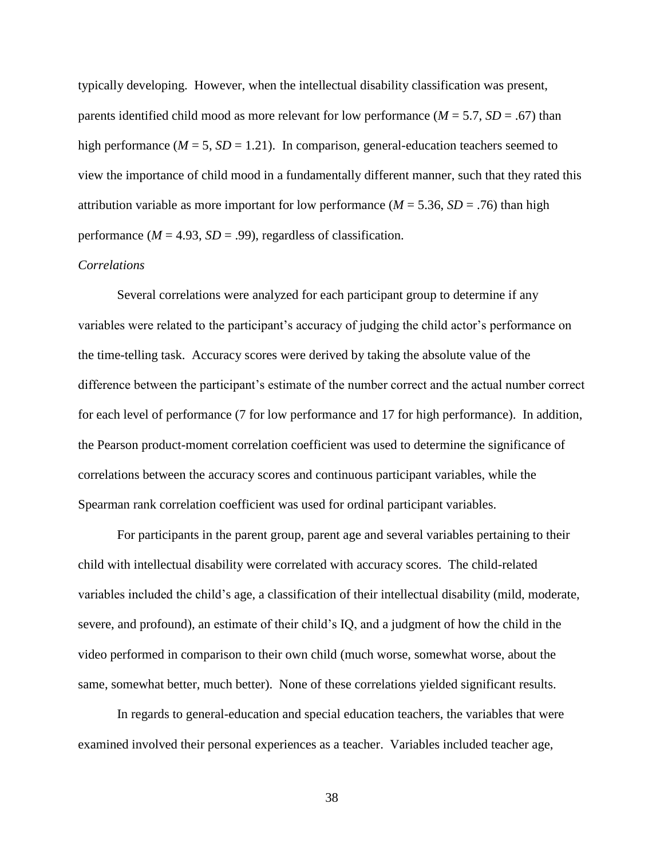typically developing. However, when the intellectual disability classification was present, parents identified child mood as more relevant for low performance  $(M = 5.7, SD = .67)$  than high performance  $(M = 5, SD = 1.21)$ . In comparison, general-education teachers seemed to view the importance of child mood in a fundamentally different manner, such that they rated this attribution variable as more important for low performance ( $M = 5.36$ ,  $SD = .76$ ) than high performance  $(M = 4.93, SD = .99)$ , regardless of classification.

### *Correlations*

Several correlations were analyzed for each participant group to determine if any variables were related to the participant's accuracy of judging the child actor's performance on the time-telling task. Accuracy scores were derived by taking the absolute value of the difference between the participant's estimate of the number correct and the actual number correct for each level of performance (7 for low performance and 17 for high performance). In addition, the Pearson product-moment correlation coefficient was used to determine the significance of correlations between the accuracy scores and continuous participant variables, while the Spearman rank correlation coefficient was used for ordinal participant variables.

For participants in the parent group, parent age and several variables pertaining to their child with intellectual disability were correlated with accuracy scores. The child-related variables included the child's age, a classification of their intellectual disability (mild, moderate, severe, and profound), an estimate of their child's IQ, and a judgment of how the child in the video performed in comparison to their own child (much worse, somewhat worse, about the same, somewhat better, much better). None of these correlations yielded significant results.

In regards to general-education and special education teachers, the variables that were examined involved their personal experiences as a teacher. Variables included teacher age,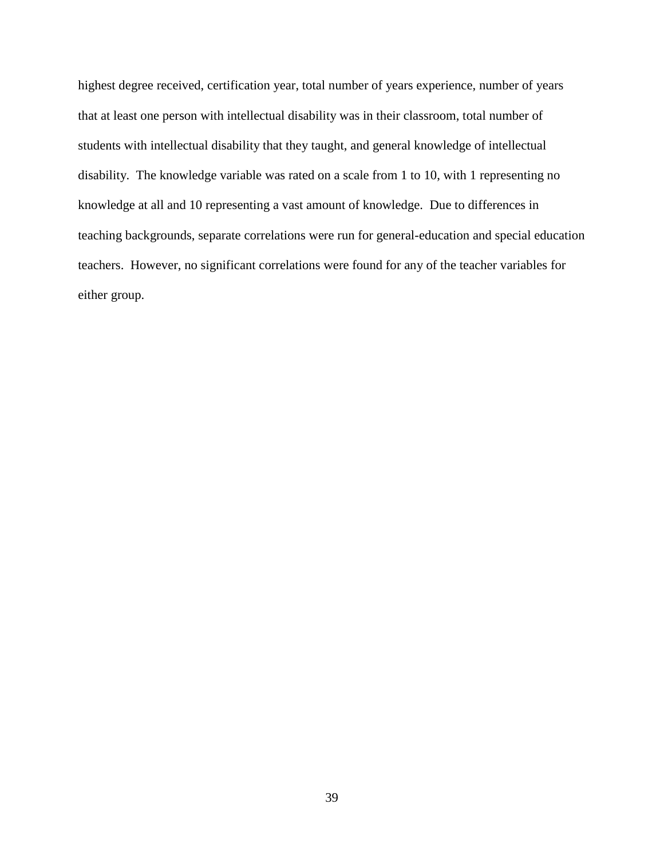highest degree received, certification year, total number of years experience, number of years that at least one person with intellectual disability was in their classroom, total number of students with intellectual disability that they taught, and general knowledge of intellectual disability. The knowledge variable was rated on a scale from 1 to 10, with 1 representing no knowledge at all and 10 representing a vast amount of knowledge. Due to differences in teaching backgrounds, separate correlations were run for general-education and special education teachers. However, no significant correlations were found for any of the teacher variables for either group.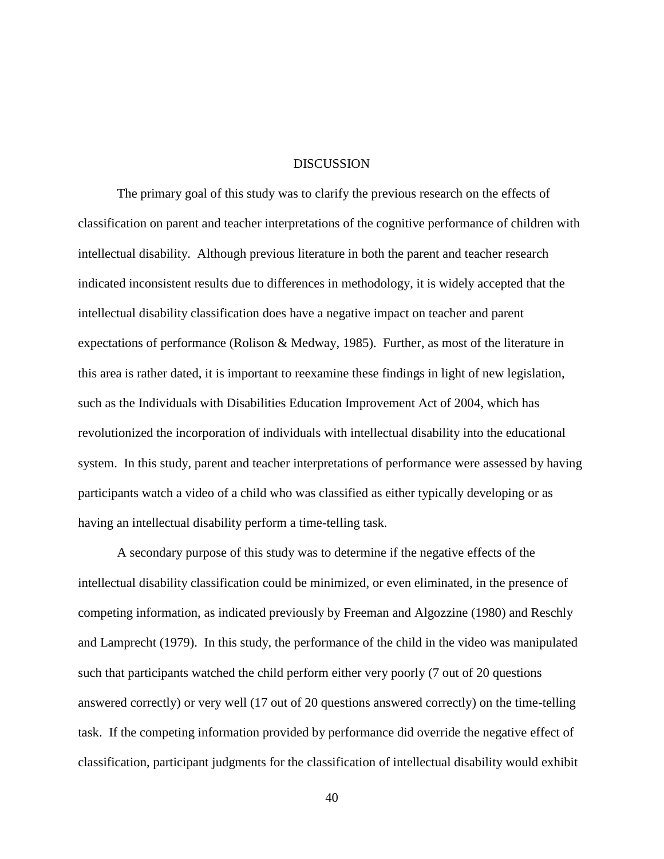#### **DISCUSSION**

The primary goal of this study was to clarify the previous research on the effects of classification on parent and teacher interpretations of the cognitive performance of children with intellectual disability. Although previous literature in both the parent and teacher research indicated inconsistent results due to differences in methodology, it is widely accepted that the intellectual disability classification does have a negative impact on teacher and parent expectations of performance (Rolison & Medway, 1985). Further, as most of the literature in this area is rather dated, it is important to reexamine these findings in light of new legislation, such as the Individuals with Disabilities Education Improvement Act of 2004, which has revolutionized the incorporation of individuals with intellectual disability into the educational system. In this study, parent and teacher interpretations of performance were assessed by having participants watch a video of a child who was classified as either typically developing or as having an intellectual disability perform a time-telling task.

A secondary purpose of this study was to determine if the negative effects of the intellectual disability classification could be minimized, or even eliminated, in the presence of competing information, as indicated previously by Freeman and Algozzine (1980) and Reschly and Lamprecht (1979). In this study, the performance of the child in the video was manipulated such that participants watched the child perform either very poorly (7 out of 20 questions answered correctly) or very well (17 out of 20 questions answered correctly) on the time-telling task. If the competing information provided by performance did override the negative effect of classification, participant judgments for the classification of intellectual disability would exhibit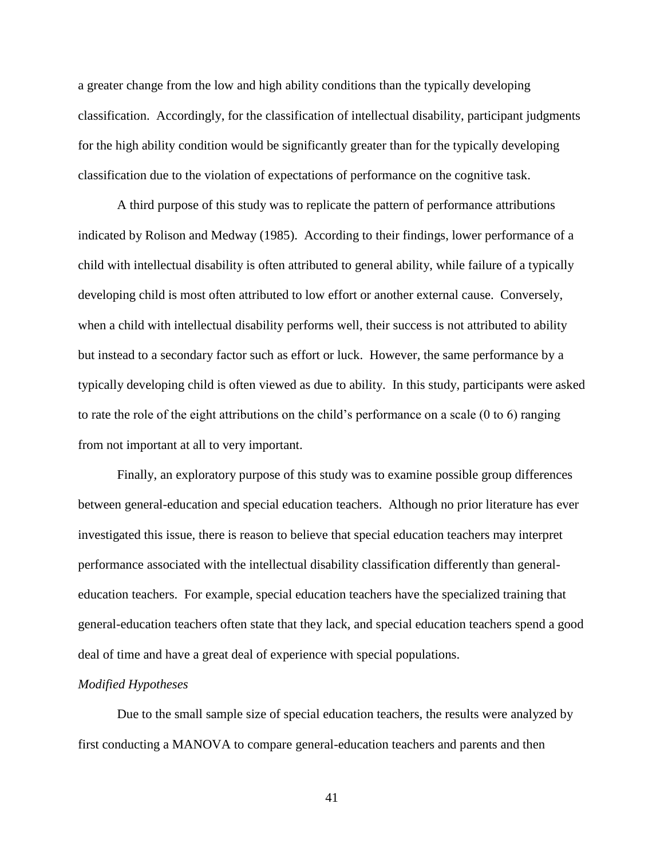a greater change from the low and high ability conditions than the typically developing classification. Accordingly, for the classification of intellectual disability, participant judgments for the high ability condition would be significantly greater than for the typically developing classification due to the violation of expectations of performance on the cognitive task.

A third purpose of this study was to replicate the pattern of performance attributions indicated by Rolison and Medway (1985). According to their findings, lower performance of a child with intellectual disability is often attributed to general ability, while failure of a typically developing child is most often attributed to low effort or another external cause. Conversely, when a child with intellectual disability performs well, their success is not attributed to ability but instead to a secondary factor such as effort or luck. However, the same performance by a typically developing child is often viewed as due to ability. In this study, participants were asked to rate the role of the eight attributions on the child's performance on a scale (0 to 6) ranging from not important at all to very important.

Finally, an exploratory purpose of this study was to examine possible group differences between general-education and special education teachers. Although no prior literature has ever investigated this issue, there is reason to believe that special education teachers may interpret performance associated with the intellectual disability classification differently than generaleducation teachers. For example, special education teachers have the specialized training that general-education teachers often state that they lack, and special education teachers spend a good deal of time and have a great deal of experience with special populations.

#### *Modified Hypotheses*

Due to the small sample size of special education teachers, the results were analyzed by first conducting a MANOVA to compare general-education teachers and parents and then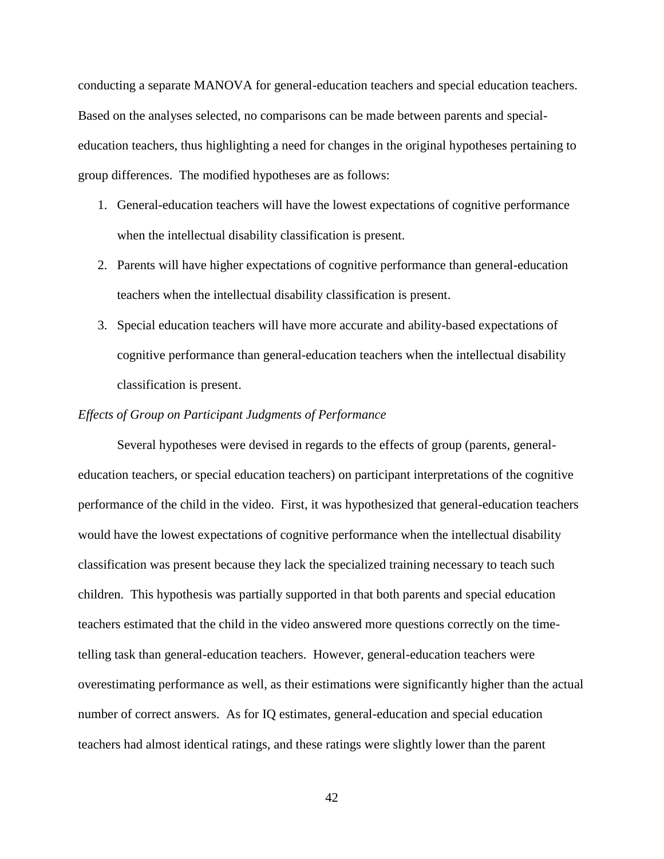conducting a separate MANOVA for general-education teachers and special education teachers. Based on the analyses selected, no comparisons can be made between parents and specialeducation teachers, thus highlighting a need for changes in the original hypotheses pertaining to group differences. The modified hypotheses are as follows:

- 1. General-education teachers will have the lowest expectations of cognitive performance when the intellectual disability classification is present.
- 2. Parents will have higher expectations of cognitive performance than general-education teachers when the intellectual disability classification is present.
- 3. Special education teachers will have more accurate and ability-based expectations of cognitive performance than general-education teachers when the intellectual disability classification is present.

#### *Effects of Group on Participant Judgments of Performance*

Several hypotheses were devised in regards to the effects of group (parents, generaleducation teachers, or special education teachers) on participant interpretations of the cognitive performance of the child in the video. First, it was hypothesized that general-education teachers would have the lowest expectations of cognitive performance when the intellectual disability classification was present because they lack the specialized training necessary to teach such children. This hypothesis was partially supported in that both parents and special education teachers estimated that the child in the video answered more questions correctly on the timetelling task than general-education teachers. However, general-education teachers were overestimating performance as well, as their estimations were significantly higher than the actual number of correct answers. As for IQ estimates, general-education and special education teachers had almost identical ratings, and these ratings were slightly lower than the parent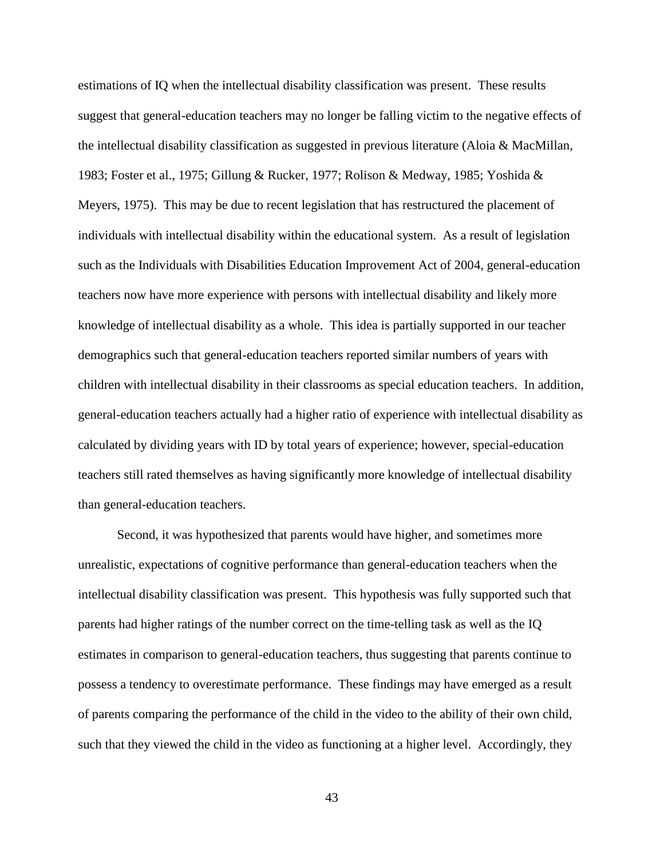estimations of IQ when the intellectual disability classification was present. These results suggest that general-education teachers may no longer be falling victim to the negative effects of the intellectual disability classification as suggested in previous literature (Aloia & MacMillan, 1983; Foster et al., 1975; Gillung & Rucker, 1977; Rolison & Medway, 1985; Yoshida & Meyers, 1975). This may be due to recent legislation that has restructured the placement of individuals with intellectual disability within the educational system. As a result of legislation such as the Individuals with Disabilities Education Improvement Act of 2004, general-education teachers now have more experience with persons with intellectual disability and likely more knowledge of intellectual disability as a whole. This idea is partially supported in our teacher demographics such that general-education teachers reported similar numbers of years with children with intellectual disability in their classrooms as special education teachers. In addition, general-education teachers actually had a higher ratio of experience with intellectual disability as calculated by dividing years with ID by total years of experience; however, special-education teachers still rated themselves as having significantly more knowledge of intellectual disability than general-education teachers.

Second, it was hypothesized that parents would have higher, and sometimes more unrealistic, expectations of cognitive performance than general-education teachers when the intellectual disability classification was present. This hypothesis was fully supported such that parents had higher ratings of the number correct on the time-telling task as well as the IQ estimates in comparison to general-education teachers, thus suggesting that parents continue to possess a tendency to overestimate performance. These findings may have emerged as a result of parents comparing the performance of the child in the video to the ability of their own child, such that they viewed the child in the video as functioning at a higher level. Accordingly, they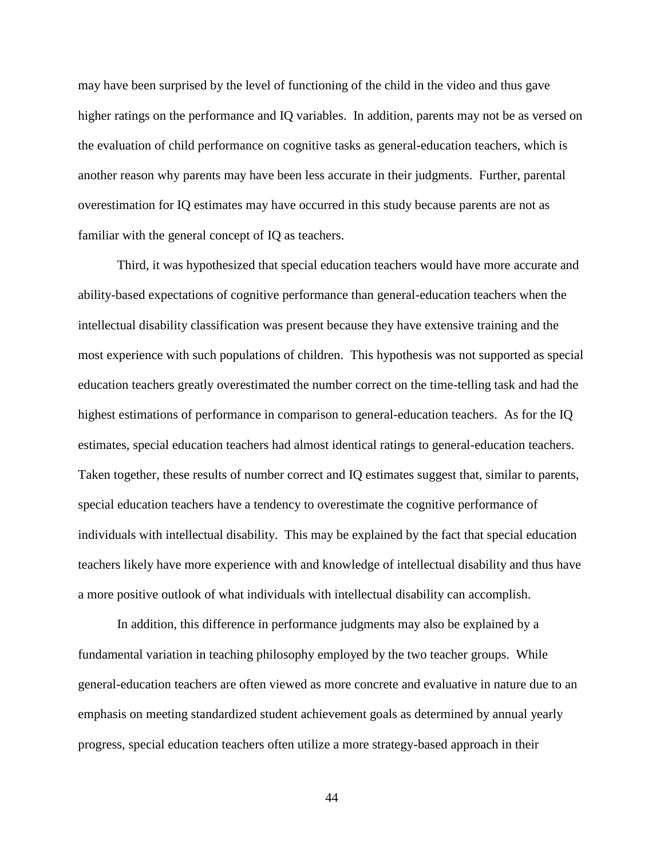may have been surprised by the level of functioning of the child in the video and thus gave higher ratings on the performance and IQ variables. In addition, parents may not be as versed on the evaluation of child performance on cognitive tasks as general-education teachers, which is another reason why parents may have been less accurate in their judgments. Further, parental overestimation for IQ estimates may have occurred in this study because parents are not as familiar with the general concept of IQ as teachers.

Third, it was hypothesized that special education teachers would have more accurate and ability-based expectations of cognitive performance than general-education teachers when the intellectual disability classification was present because they have extensive training and the most experience with such populations of children. This hypothesis was not supported as special education teachers greatly overestimated the number correct on the time-telling task and had the highest estimations of performance in comparison to general-education teachers. As for the IQ estimates, special education teachers had almost identical ratings to general-education teachers. Taken together, these results of number correct and IQ estimates suggest that, similar to parents, special education teachers have a tendency to overestimate the cognitive performance of individuals with intellectual disability. This may be explained by the fact that special education teachers likely have more experience with and knowledge of intellectual disability and thus have a more positive outlook of what individuals with intellectual disability can accomplish.

In addition, this difference in performance judgments may also be explained by a fundamental variation in teaching philosophy employed by the two teacher groups. While general-education teachers are often viewed as more concrete and evaluative in nature due to an emphasis on meeting standardized student achievement goals as determined by annual yearly progress, special education teachers often utilize a more strategy-based approach in their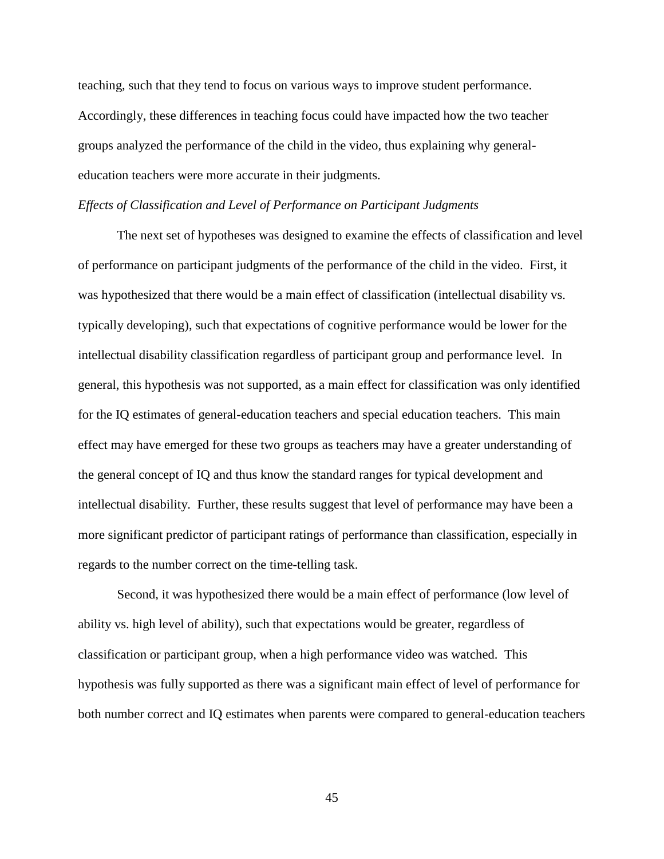teaching, such that they tend to focus on various ways to improve student performance. Accordingly, these differences in teaching focus could have impacted how the two teacher groups analyzed the performance of the child in the video, thus explaining why generaleducation teachers were more accurate in their judgments.

#### *Effects of Classification and Level of Performance on Participant Judgments*

The next set of hypotheses was designed to examine the effects of classification and level of performance on participant judgments of the performance of the child in the video. First, it was hypothesized that there would be a main effect of classification (intellectual disability vs. typically developing), such that expectations of cognitive performance would be lower for the intellectual disability classification regardless of participant group and performance level. In general, this hypothesis was not supported, as a main effect for classification was only identified for the IQ estimates of general-education teachers and special education teachers. This main effect may have emerged for these two groups as teachers may have a greater understanding of the general concept of IQ and thus know the standard ranges for typical development and intellectual disability. Further, these results suggest that level of performance may have been a more significant predictor of participant ratings of performance than classification, especially in regards to the number correct on the time-telling task.

Second, it was hypothesized there would be a main effect of performance (low level of ability vs. high level of ability), such that expectations would be greater, regardless of classification or participant group, when a high performance video was watched. This hypothesis was fully supported as there was a significant main effect of level of performance for both number correct and IQ estimates when parents were compared to general-education teachers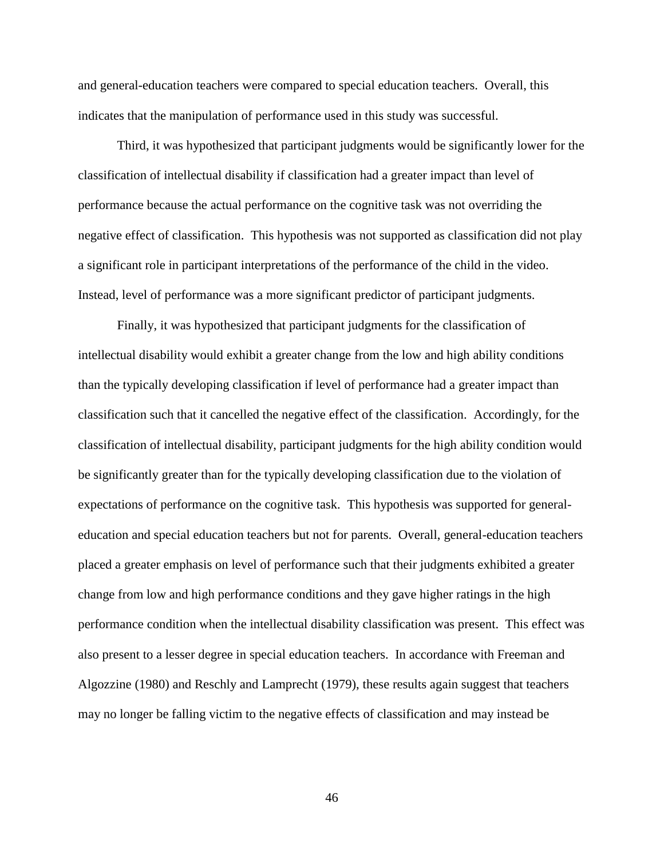and general-education teachers were compared to special education teachers. Overall, this indicates that the manipulation of performance used in this study was successful.

Third, it was hypothesized that participant judgments would be significantly lower for the classification of intellectual disability if classification had a greater impact than level of performance because the actual performance on the cognitive task was not overriding the negative effect of classification. This hypothesis was not supported as classification did not play a significant role in participant interpretations of the performance of the child in the video. Instead, level of performance was a more significant predictor of participant judgments.

Finally, it was hypothesized that participant judgments for the classification of intellectual disability would exhibit a greater change from the low and high ability conditions than the typically developing classification if level of performance had a greater impact than classification such that it cancelled the negative effect of the classification. Accordingly, for the classification of intellectual disability, participant judgments for the high ability condition would be significantly greater than for the typically developing classification due to the violation of expectations of performance on the cognitive task. This hypothesis was supported for generaleducation and special education teachers but not for parents. Overall, general-education teachers placed a greater emphasis on level of performance such that their judgments exhibited a greater change from low and high performance conditions and they gave higher ratings in the high performance condition when the intellectual disability classification was present. This effect was also present to a lesser degree in special education teachers. In accordance with Freeman and Algozzine (1980) and Reschly and Lamprecht (1979), these results again suggest that teachers may no longer be falling victim to the negative effects of classification and may instead be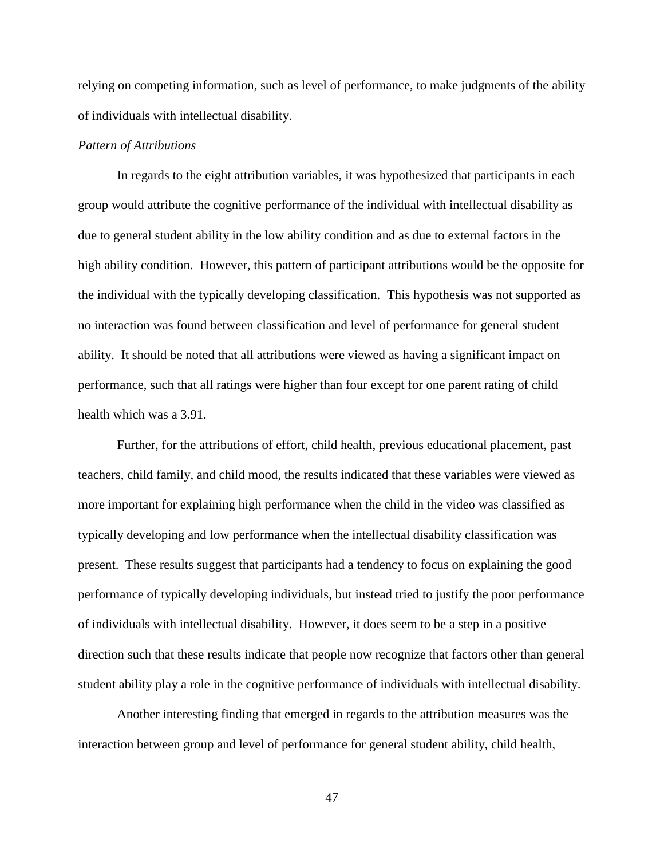relying on competing information, such as level of performance, to make judgments of the ability of individuals with intellectual disability.

### *Pattern of Attributions*

In regards to the eight attribution variables, it was hypothesized that participants in each group would attribute the cognitive performance of the individual with intellectual disability as due to general student ability in the low ability condition and as due to external factors in the high ability condition. However, this pattern of participant attributions would be the opposite for the individual with the typically developing classification. This hypothesis was not supported as no interaction was found between classification and level of performance for general student ability. It should be noted that all attributions were viewed as having a significant impact on performance, such that all ratings were higher than four except for one parent rating of child health which was a 3.91.

Further, for the attributions of effort, child health, previous educational placement, past teachers, child family, and child mood, the results indicated that these variables were viewed as more important for explaining high performance when the child in the video was classified as typically developing and low performance when the intellectual disability classification was present. These results suggest that participants had a tendency to focus on explaining the good performance of typically developing individuals, but instead tried to justify the poor performance of individuals with intellectual disability. However, it does seem to be a step in a positive direction such that these results indicate that people now recognize that factors other than general student ability play a role in the cognitive performance of individuals with intellectual disability.

Another interesting finding that emerged in regards to the attribution measures was the interaction between group and level of performance for general student ability, child health,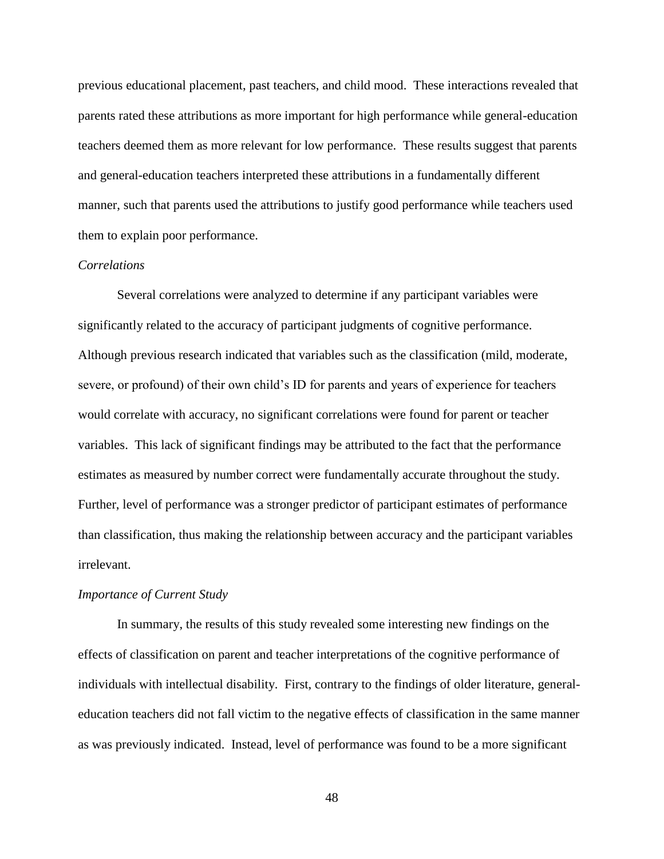previous educational placement, past teachers, and child mood. These interactions revealed that parents rated these attributions as more important for high performance while general-education teachers deemed them as more relevant for low performance. These results suggest that parents and general-education teachers interpreted these attributions in a fundamentally different manner, such that parents used the attributions to justify good performance while teachers used them to explain poor performance.

#### *Correlations*

Several correlations were analyzed to determine if any participant variables were significantly related to the accuracy of participant judgments of cognitive performance. Although previous research indicated that variables such as the classification (mild, moderate, severe, or profound) of their own child's ID for parents and years of experience for teachers would correlate with accuracy, no significant correlations were found for parent or teacher variables. This lack of significant findings may be attributed to the fact that the performance estimates as measured by number correct were fundamentally accurate throughout the study. Further, level of performance was a stronger predictor of participant estimates of performance than classification, thus making the relationship between accuracy and the participant variables irrelevant.

#### *Importance of Current Study*

In summary, the results of this study revealed some interesting new findings on the effects of classification on parent and teacher interpretations of the cognitive performance of individuals with intellectual disability. First, contrary to the findings of older literature, generaleducation teachers did not fall victim to the negative effects of classification in the same manner as was previously indicated. Instead, level of performance was found to be a more significant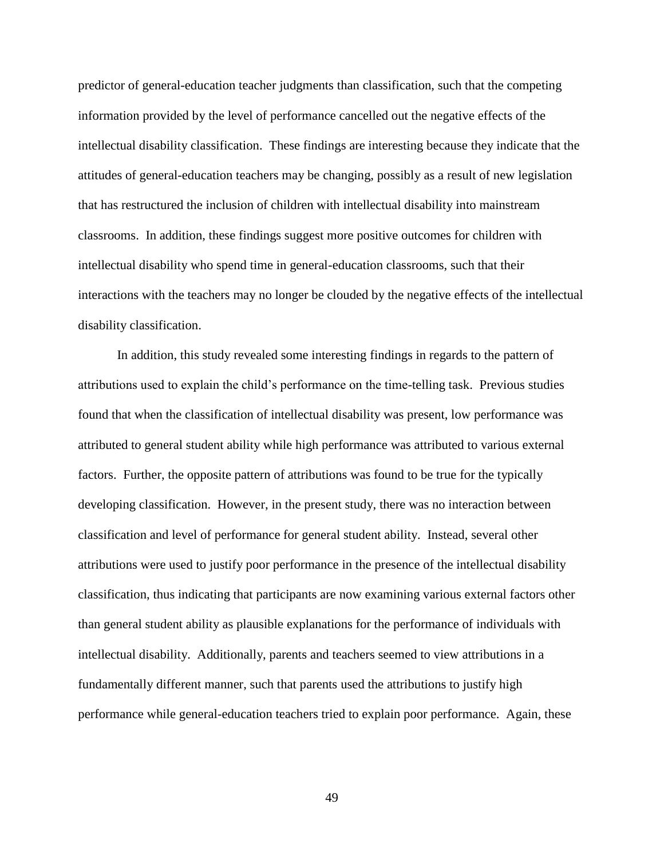predictor of general-education teacher judgments than classification, such that the competing information provided by the level of performance cancelled out the negative effects of the intellectual disability classification. These findings are interesting because they indicate that the attitudes of general-education teachers may be changing, possibly as a result of new legislation that has restructured the inclusion of children with intellectual disability into mainstream classrooms. In addition, these findings suggest more positive outcomes for children with intellectual disability who spend time in general-education classrooms, such that their interactions with the teachers may no longer be clouded by the negative effects of the intellectual disability classification.

In addition, this study revealed some interesting findings in regards to the pattern of attributions used to explain the child's performance on the time-telling task. Previous studies found that when the classification of intellectual disability was present, low performance was attributed to general student ability while high performance was attributed to various external factors. Further, the opposite pattern of attributions was found to be true for the typically developing classification. However, in the present study, there was no interaction between classification and level of performance for general student ability. Instead, several other attributions were used to justify poor performance in the presence of the intellectual disability classification, thus indicating that participants are now examining various external factors other than general student ability as plausible explanations for the performance of individuals with intellectual disability. Additionally, parents and teachers seemed to view attributions in a fundamentally different manner, such that parents used the attributions to justify high performance while general-education teachers tried to explain poor performance. Again, these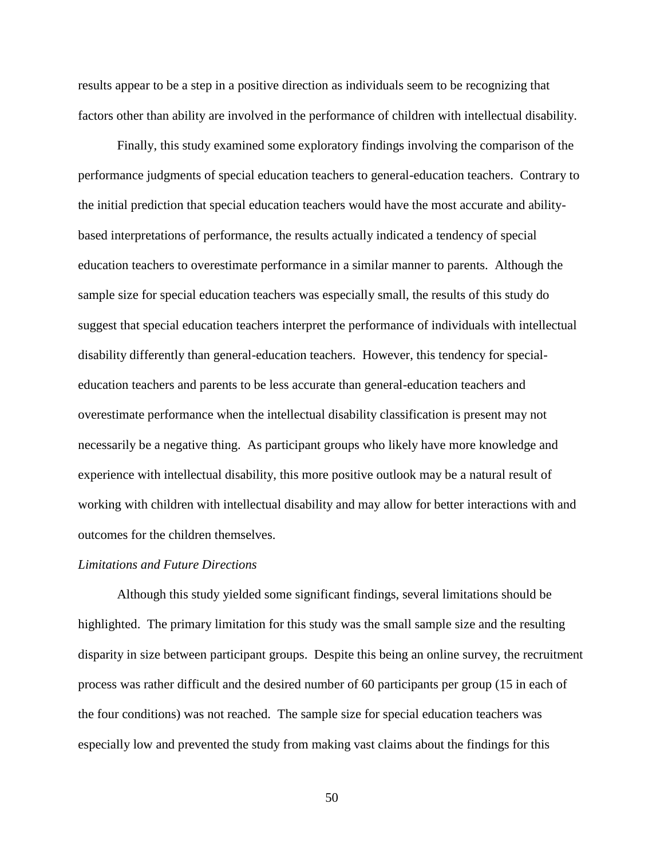results appear to be a step in a positive direction as individuals seem to be recognizing that factors other than ability are involved in the performance of children with intellectual disability.

Finally, this study examined some exploratory findings involving the comparison of the performance judgments of special education teachers to general-education teachers. Contrary to the initial prediction that special education teachers would have the most accurate and abilitybased interpretations of performance, the results actually indicated a tendency of special education teachers to overestimate performance in a similar manner to parents. Although the sample size for special education teachers was especially small, the results of this study do suggest that special education teachers interpret the performance of individuals with intellectual disability differently than general-education teachers. However, this tendency for specialeducation teachers and parents to be less accurate than general-education teachers and overestimate performance when the intellectual disability classification is present may not necessarily be a negative thing. As participant groups who likely have more knowledge and experience with intellectual disability, this more positive outlook may be a natural result of working with children with intellectual disability and may allow for better interactions with and outcomes for the children themselves.

#### *Limitations and Future Directions*

Although this study yielded some significant findings, several limitations should be highlighted. The primary limitation for this study was the small sample size and the resulting disparity in size between participant groups. Despite this being an online survey, the recruitment process was rather difficult and the desired number of 60 participants per group (15 in each of the four conditions) was not reached. The sample size for special education teachers was especially low and prevented the study from making vast claims about the findings for this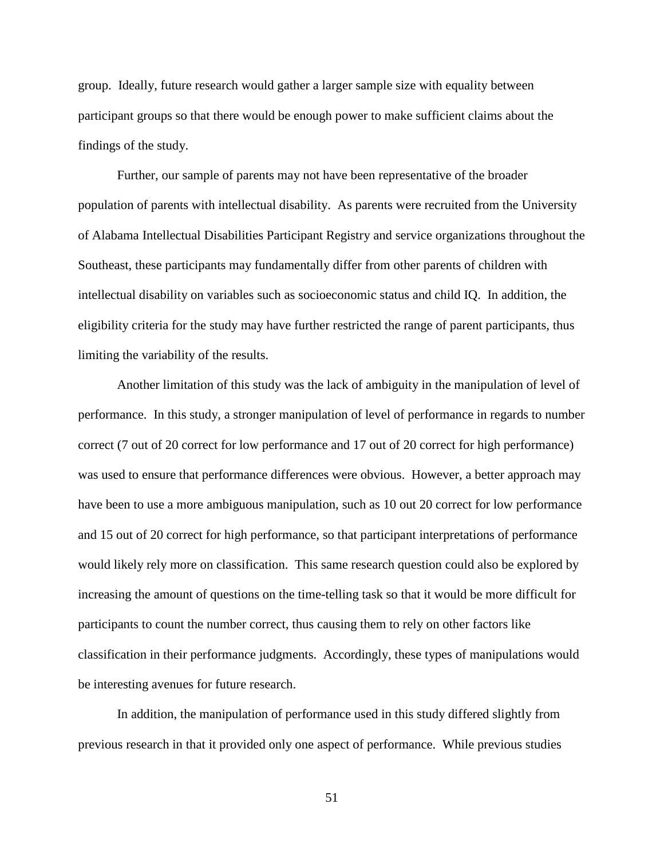group. Ideally, future research would gather a larger sample size with equality between participant groups so that there would be enough power to make sufficient claims about the findings of the study.

Further, our sample of parents may not have been representative of the broader population of parents with intellectual disability. As parents were recruited from the University of Alabama Intellectual Disabilities Participant Registry and service organizations throughout the Southeast, these participants may fundamentally differ from other parents of children with intellectual disability on variables such as socioeconomic status and child IQ. In addition, the eligibility criteria for the study may have further restricted the range of parent participants, thus limiting the variability of the results.

Another limitation of this study was the lack of ambiguity in the manipulation of level of performance. In this study, a stronger manipulation of level of performance in regards to number correct (7 out of 20 correct for low performance and 17 out of 20 correct for high performance) was used to ensure that performance differences were obvious. However, a better approach may have been to use a more ambiguous manipulation, such as 10 out 20 correct for low performance and 15 out of 20 correct for high performance, so that participant interpretations of performance would likely rely more on classification. This same research question could also be explored by increasing the amount of questions on the time-telling task so that it would be more difficult for participants to count the number correct, thus causing them to rely on other factors like classification in their performance judgments. Accordingly, these types of manipulations would be interesting avenues for future research.

In addition, the manipulation of performance used in this study differed slightly from previous research in that it provided only one aspect of performance. While previous studies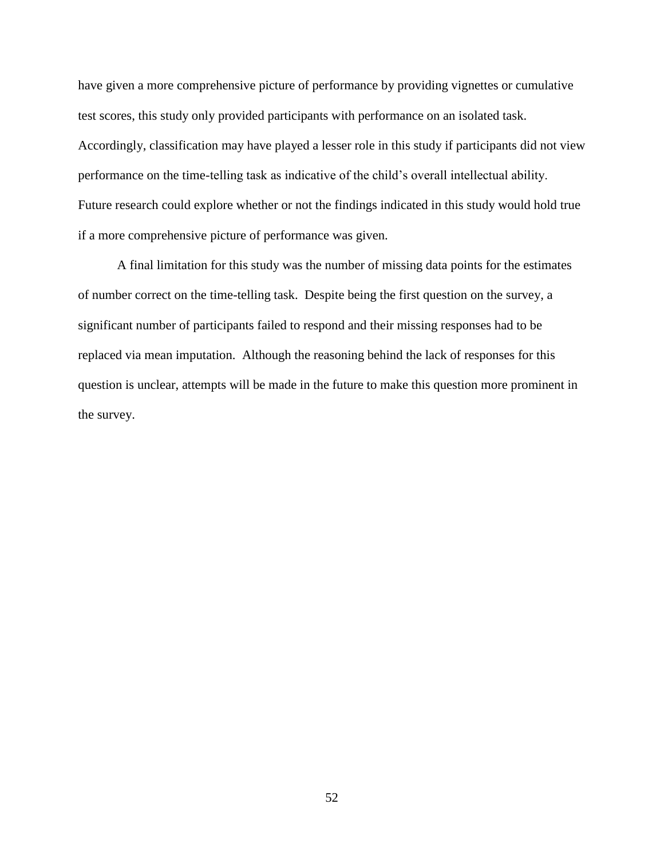have given a more comprehensive picture of performance by providing vignettes or cumulative test scores, this study only provided participants with performance on an isolated task. Accordingly, classification may have played a lesser role in this study if participants did not view performance on the time-telling task as indicative of the child's overall intellectual ability. Future research could explore whether or not the findings indicated in this study would hold true if a more comprehensive picture of performance was given.

A final limitation for this study was the number of missing data points for the estimates of number correct on the time-telling task. Despite being the first question on the survey, a significant number of participants failed to respond and their missing responses had to be replaced via mean imputation. Although the reasoning behind the lack of responses for this question is unclear, attempts will be made in the future to make this question more prominent in the survey.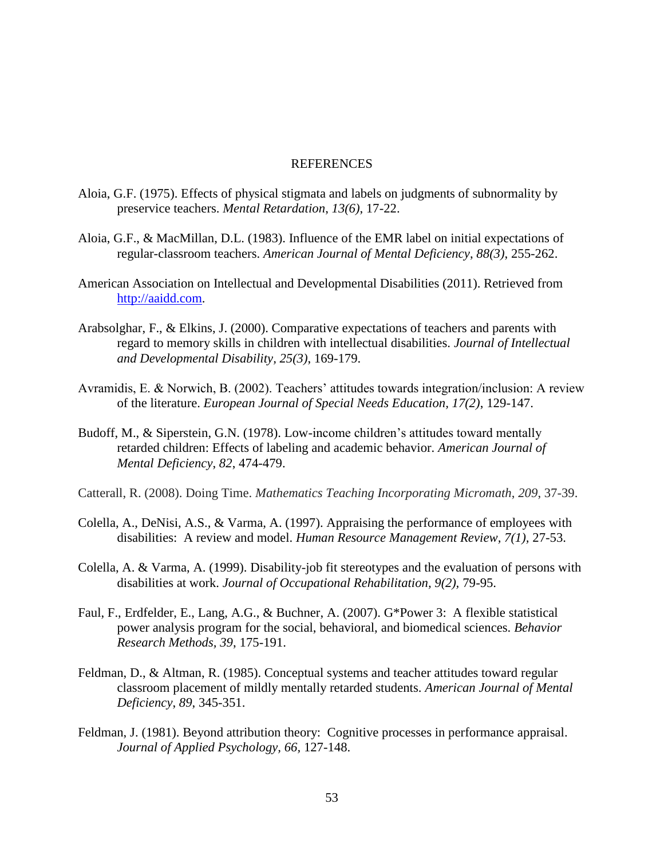#### REFERENCES

- Aloia, G.F. (1975). Effects of physical stigmata and labels on judgments of subnormality by preservice teachers. *Mental Retardation*, *13(6)*, 17-22.
- Aloia, G.F., & MacMillan, D.L. (1983). Influence of the EMR label on initial expectations of regular-classroom teachers. *American Journal of Mental Deficiency*, *88(3)*, 255-262.
- American Association on Intellectual and Developmental Disabilities (2011). Retrieved from [http://aaidd.com.](http://aaidd.com/)
- Arabsolghar, F., & Elkins, J. (2000). Comparative expectations of teachers and parents with regard to memory skills in children with intellectual disabilities. *Journal of Intellectual and Developmental Disability, 25(3)*, 169-179.
- Avramidis, E. & Norwich, B. (2002). Teachers' attitudes towards integration/inclusion: A review of the literature. *European Journal of Special Needs Education, 17(2)*, 129-147.
- Budoff, M., & Siperstein, G.N. (1978). Low-income children's attitudes toward mentally retarded children: Effects of labeling and academic behavior. *American Journal of Mental Deficiency*, *82*, 474-479.
- Catterall, R. (2008). Doing Time. *Mathematics Teaching Incorporating Micromath*, *209*, 37-39.
- Colella, A., DeNisi, A.S., & Varma, A. (1997). Appraising the performance of employees with disabilities: A review and model. *Human Resource Management Review, 7(1),* 27-53.
- Colella, A. & Varma, A. (1999). Disability-job fit stereotypes and the evaluation of persons with disabilities at work. *Journal of Occupational Rehabilitation, 9(2),* 79-95.
- Faul, F., Erdfelder, E., Lang, A.G., & Buchner, A. (2007). G\*Power 3: A flexible statistical power analysis program for the social, behavioral, and biomedical sciences. *Behavior Research Methods, 39*, 175-191.
- Feldman, D., & Altman, R. (1985). Conceptual systems and teacher attitudes toward regular classroom placement of mildly mentally retarded students. *American Journal of Mental Deficiency*, *89*, 345-351.
- Feldman, J. (1981). Beyond attribution theory: Cognitive processes in performance appraisal. *Journal of Applied Psychology, 66,* 127-148.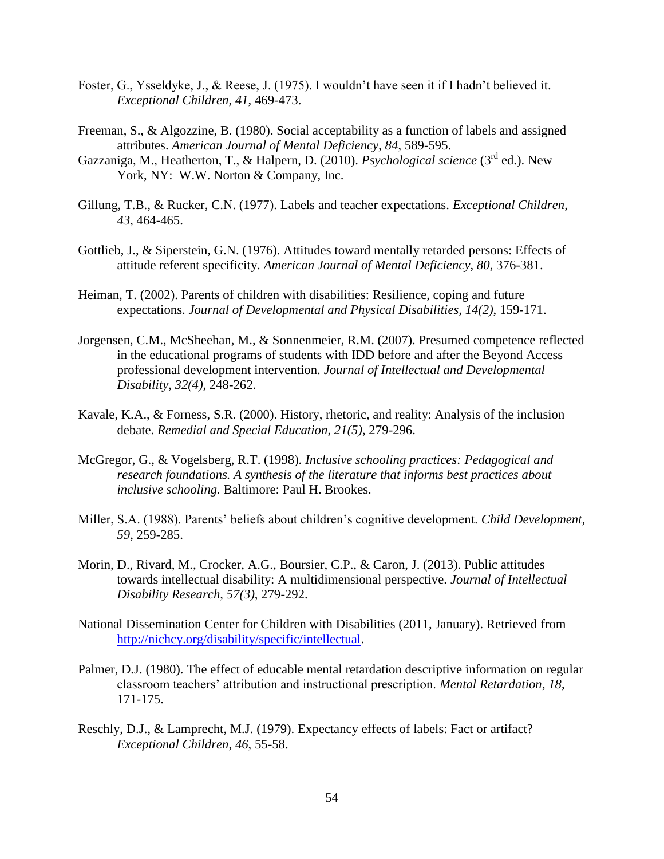- Foster, G., Ysseldyke, J., & Reese, J. (1975). I wouldn't have seen it if I hadn't believed it. *Exceptional Children*, *41*, 469-473.
- Freeman, S., & Algozzine, B. (1980). Social acceptability as a function of labels and assigned attributes. *American Journal of Mental Deficiency, 84*, 589-595.
- Gazzaniga, M., Heatherton, T., & Halpern, D. (2010). *Psychological science* (3rd ed.). New York, NY: W.W. Norton & Company, Inc.
- Gillung, T.B., & Rucker, C.N. (1977). Labels and teacher expectations. *Exceptional Children*, *43*, 464-465.
- Gottlieb, J., & Siperstein, G.N. (1976). Attitudes toward mentally retarded persons: Effects of attitude referent specificity. *American Journal of Mental Deficiency, 80*, 376-381.
- Heiman, T. (2002). Parents of children with disabilities: Resilience, coping and future expectations. *Journal of Developmental and Physical Disabilities, 14(2)*, 159-171.
- Jorgensen, C.M., McSheehan, M., & Sonnenmeier, R.M. (2007). Presumed competence reflected in the educational programs of students with IDD before and after the Beyond Access professional development intervention. *Journal of Intellectual and Developmental Disability*, *32(4)*, 248-262.
- Kavale, K.A., & Forness, S.R. (2000). History, rhetoric, and reality: Analysis of the inclusion debate. *Remedial and Special Education*, *21(5)*, 279-296.
- McGregor, G., & Vogelsberg, R.T. (1998). *Inclusive schooling practices: Pedagogical and research foundations. A synthesis of the literature that informs best practices about inclusive schooling.* Baltimore: Paul H. Brookes.
- Miller, S.A. (1988). Parents' beliefs about children's cognitive development. *Child Development, 59*, 259-285.
- Morin, D., Rivard, M., Crocker, A.G., Boursier, C.P., & Caron, J. (2013). Public attitudes towards intellectual disability: A multidimensional perspective. *Journal of Intellectual Disability Research, 57(3)*, 279-292.
- National Dissemination Center for Children with Disabilities (2011, January). Retrieved from [http://nichcy.org/disability/specific/intellectual.](http://nichcy.org/disability/specific/intellectual)
- Palmer, D.J. (1980). The effect of educable mental retardation descriptive information on regular classroom teachers' attribution and instructional prescription. *Mental Retardation*, *18*, 171-175.
- Reschly, D.J., & Lamprecht, M.J. (1979). Expectancy effects of labels: Fact or artifact? *Exceptional Children*, *46*, 55-58.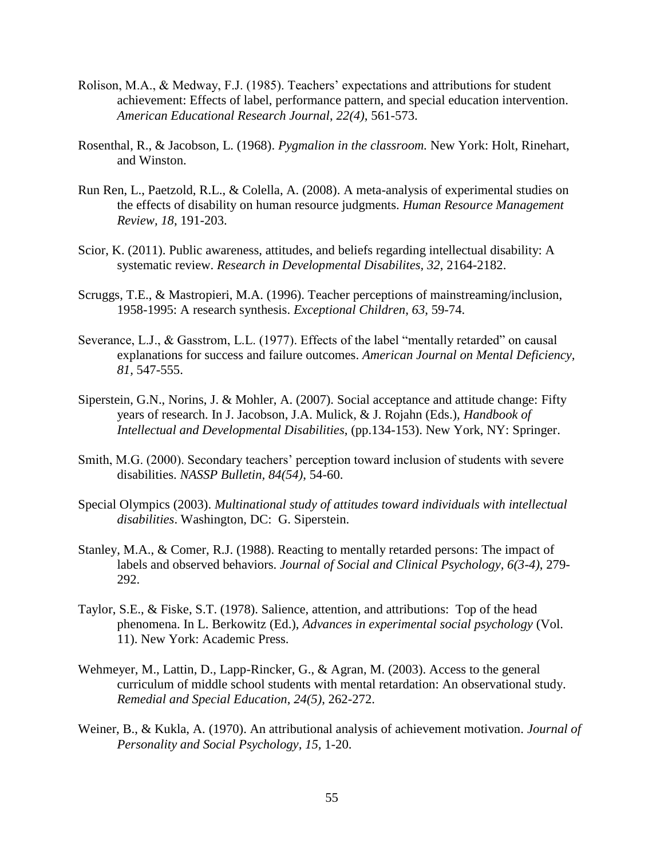- Rolison, M.A., & Medway, F.J. (1985). Teachers' expectations and attributions for student achievement: Effects of label, performance pattern, and special education intervention. *American Educational Research Journal*, *22(4)*, 561-573.
- Rosenthal, R., & Jacobson, L. (1968). *Pygmalion in the classroom.* New York: Holt, Rinehart, and Winston.
- Run Ren, L., Paetzold, R.L., & Colella, A. (2008). A meta-analysis of experimental studies on the effects of disability on human resource judgments. *Human Resource Management Review, 18*, 191-203.
- Scior, K. (2011). Public awareness, attitudes, and beliefs regarding intellectual disability: A systematic review. *Research in Developmental Disabilites, 32*, 2164-2182.
- Scruggs, T.E., & Mastropieri, M.A. (1996). Teacher perceptions of mainstreaming/inclusion, 1958-1995: A research synthesis. *Exceptional Children*, *63*, 59-74.
- Severance, L.J., & Gasstrom, L.L. (1977). Effects of the label "mentally retarded" on causal explanations for success and failure outcomes. *American Journal on Mental Deficiency, 81,* 547-555.
- Siperstein, G.N., Norins, J. & Mohler, A. (2007). Social acceptance and attitude change: Fifty years of research. In J. Jacobson, J.A. Mulick, & J. Rojahn (Eds.), *Handbook of Intellectual and Developmental Disabilities*, (pp.134-153). New York, NY: Springer.
- Smith, M.G. (2000). Secondary teachers' perception toward inclusion of students with severe disabilities. *NASSP Bulletin, 84(54)*, 54-60.
- Special Olympics (2003). *Multinational study of attitudes toward individuals with intellectual disabilities*. Washington, DC: G. Siperstein.
- Stanley, M.A., & Comer, R.J. (1988). Reacting to mentally retarded persons: The impact of labels and observed behaviors. *Journal of Social and Clinical Psychology, 6(3-4)*, 279- 292.
- Taylor, S.E., & Fiske, S.T. (1978). Salience, attention, and attributions: Top of the head phenomena. In L. Berkowitz (Ed.), *Advances in experimental social psychology* (Vol. 11). New York: Academic Press.
- Wehmeyer, M., Lattin, D., Lapp-Rincker, G., & Agran, M. (2003). Access to the general curriculum of middle school students with mental retardation: An observational study. *Remedial and Special Education*, *24(5)*, 262-272.
- Weiner, B., & Kukla, A. (1970). An attributional analysis of achievement motivation. *Journal of Personality and Social Psychology, 15,* 1-20.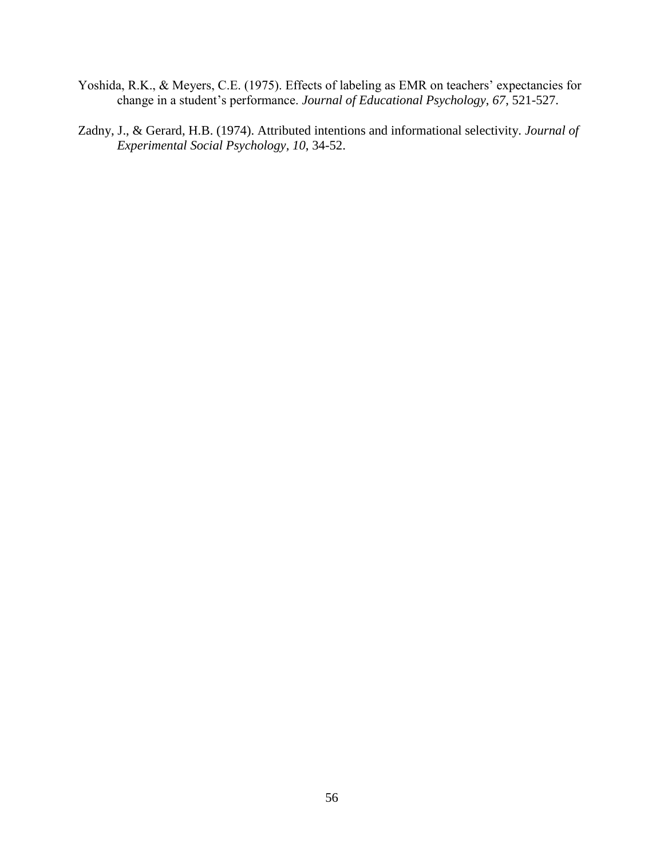- Yoshida, R.K., & Meyers, C.E. (1975). Effects of labeling as EMR on teachers' expectancies for change in a student's performance. *Journal of Educational Psychology*, *67*, 521-527.
- Zadny, J., & Gerard, H.B. (1974). Attributed intentions and informational selectivity. *Journal of Experimental Social Psychology, 10*, 34-52.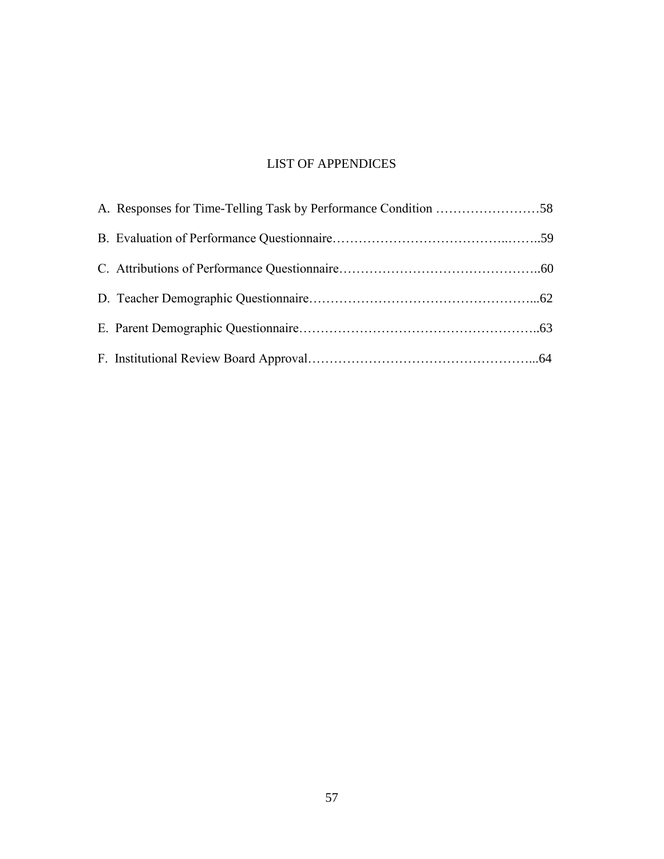# LIST OF APPENDICES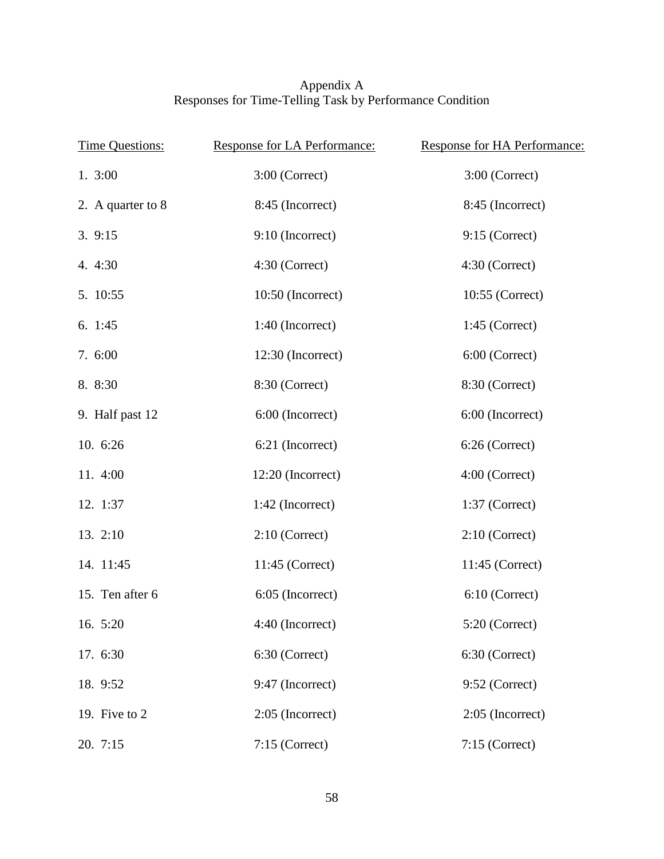### Appendix A Responses for Time-Telling Task by Performance Condition

| <b>Time Questions:</b> | Response for LA Performance: | Response for HA Performance: |
|------------------------|------------------------------|------------------------------|
| 1.3:00                 | $3:00$ (Correct)             | $3:00$ (Correct)             |
| 2. A quarter to 8      | 8:45 (Incorrect)             | 8:45 (Incorrect)             |
| 3.9:15                 | 9:10 (Incorrect)             | $9:15$ (Correct)             |
| 4. 4:30                | 4:30 (Correct)               | 4:30 (Correct)               |
| 5. 10:55               | 10:50 (Incorrect)            | 10:55 (Correct)              |
| 6. 1:45                | 1:40 (Incorrect)             | $1:45$ (Correct)             |
| 7. 6:00                | 12:30 (Incorrect)            | 6:00 (Correct)               |
| 8. 8:30                | 8:30 (Correct)               | 8:30 (Correct)               |
| 9. Half past 12        | 6:00 (Incorrect)             | 6:00 (Incorrect)             |
| 10. 6:26               | 6:21 (Incorrect)             | 6:26 (Correct)               |
| 11. 4:00               | 12:20 (Incorrect)            | 4:00 (Correct)               |
| 12. 1:37               | 1:42 (Incorrect)             | $1:37$ (Correct)             |
| 13. 2:10               | $2:10$ (Correct)             | $2:10$ (Correct)             |
| 14. 11:45              | $11:45$ (Correct)            | $11:45$ (Correct)            |
| 15. Ten after 6        | 6:05 (Incorrect)             | 6:10 (Correct)               |
| 16. 5:20               | 4:40 (Incorrect)             | 5:20 (Correct)               |
| 17. 6:30               | 6:30 (Correct)               | 6:30 (Correct)               |
| 18. 9:52               | 9:47 (Incorrect)             | 9:52 (Correct)               |
| 19. Five to 2          | $2:05$ (Incorrect)           | $2:05$ (Incorrect)           |
| 20. 7:15               | 7:15 (Correct)               | 7:15 (Correct)               |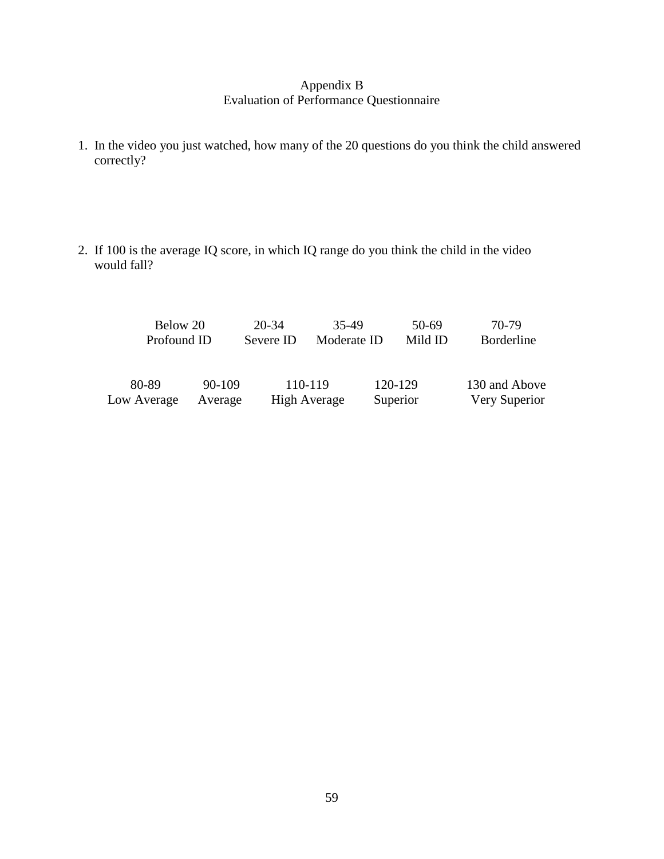## Appendix B Evaluation of Performance Questionnaire

- 1. In the video you just watched, how many of the 20 questions do you think the child answered correctly?
- 2. If 100 is the average IQ score, in which IQ range do you think the child in the video would fall?

| Below 20    |            | 20-34     | 35-49        | 50-69    | 70-79             |
|-------------|------------|-----------|--------------|----------|-------------------|
| Profound ID |            | Severe ID | Moderate ID  | Mild ID  | <b>Borderline</b> |
|             |            |           |              |          |                   |
| 80-89       | $90 - 109$ |           | 110-119      | 120-129  | 130 and Above     |
| Low Average | Average    |           | High Average | Superior | Very Superior     |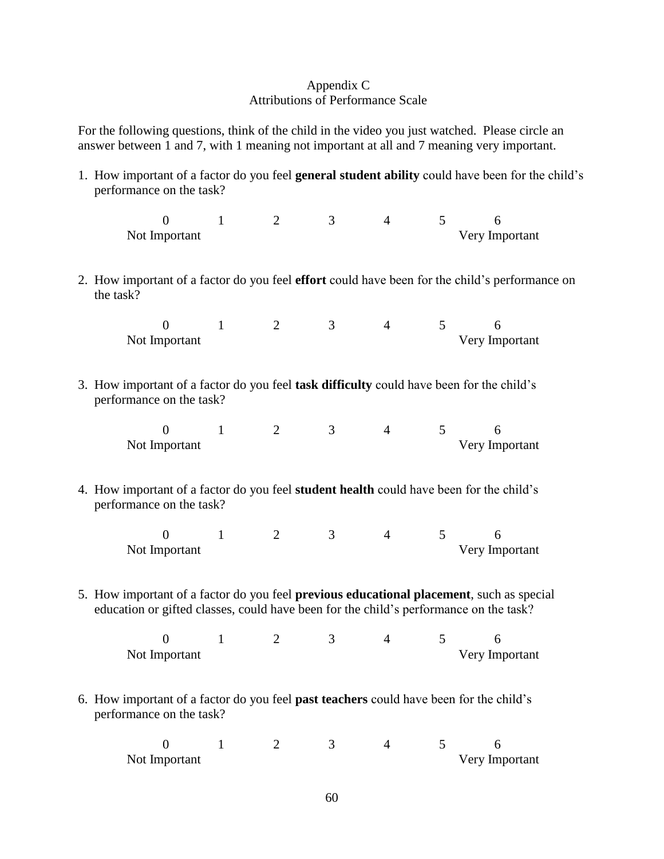### Appendix C Attributions of Performance Scale

For the following questions, think of the child in the video you just watched. Please circle an answer between 1 and 7, with 1 meaning not important at all and 7 meaning very important.

1. How important of a factor do you feel **general student ability** could have been for the child's performance on the task?

| Not Important |  |  |  | Very Important |
|---------------|--|--|--|----------------|

2. How important of a factor do you feel **effort** could have been for the child's performance on the task?

| Not Important |  |  | Very Important |
|---------------|--|--|----------------|

3. How important of a factor do you feel **task difficulty** could have been for the child's performance on the task?

| Not Important |  |  | Very Important |
|---------------|--|--|----------------|

4. How important of a factor do you feel **student health** could have been for the child's performance on the task?

| Not Important |  |  | Very Important |
|---------------|--|--|----------------|

5. How important of a factor do you feel **previous educational placement**, such as special education or gifted classes, could have been for the child's performance on the task?

| Not Important |  |  | Very Important |
|---------------|--|--|----------------|

6. How important of a factor do you feel **past teachers** could have been for the child's performance on the task?

| Not Important |  |  | Very Important |
|---------------|--|--|----------------|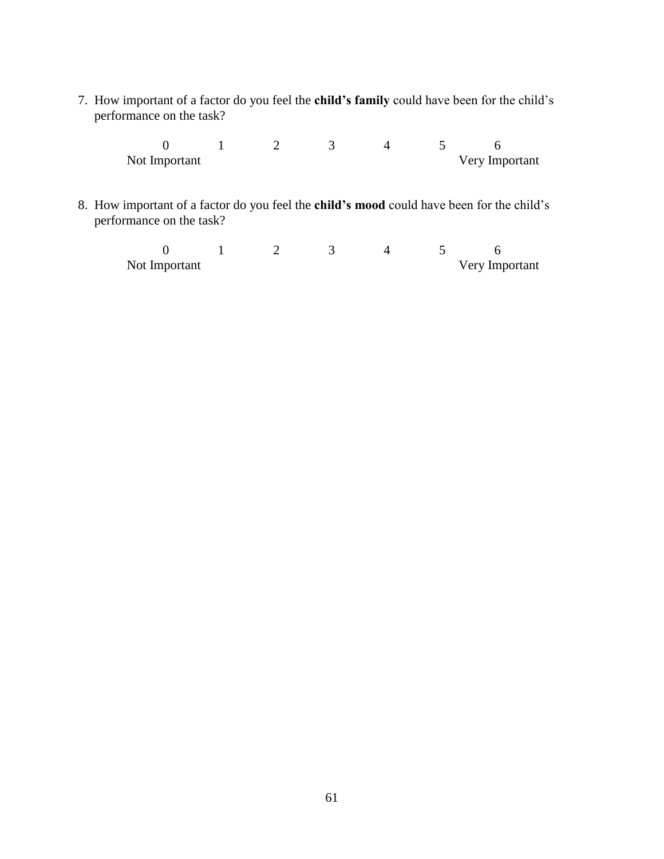7. How important of a factor do you feel the **child's family** could have been for the child's performance on the task?

> $0$  1 2 3 4 5 6<br>Not Important Very Im Very Important

8. How important of a factor do you feel the **child's mood** could have been for the child's performance on the task?

0 1 2 3 4 5 6 Not Important Very Important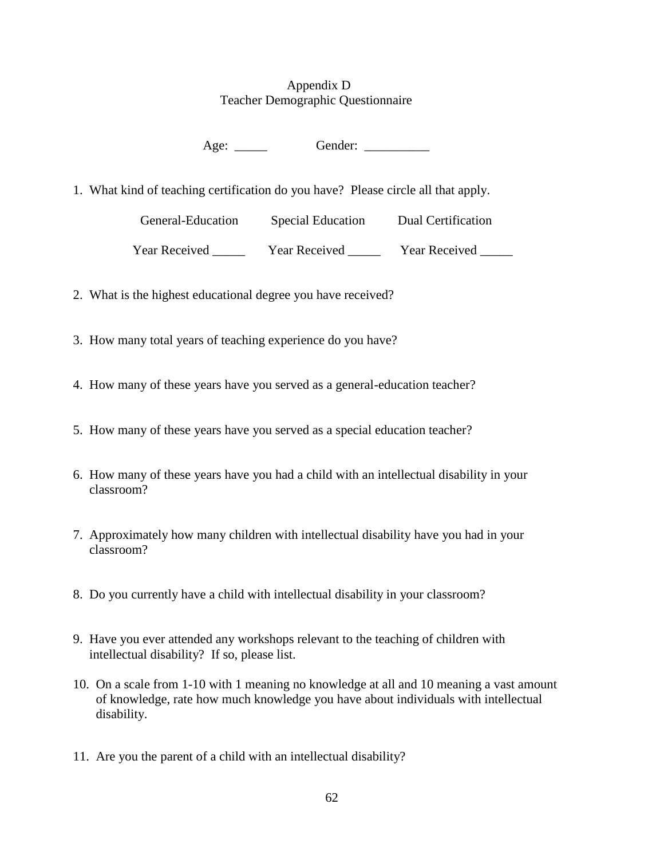## Appendix D Teacher Demographic Questionnaire

Age: \_\_\_\_\_\_\_ Gender: \_\_\_\_\_\_\_\_\_

1. What kind of teaching certification do you have? Please circle all that apply.

| General-Education | <b>Special Education</b> | Dual Certification   |
|-------------------|--------------------------|----------------------|
| Year Received     | <b>Year Received</b>     | <b>Year Received</b> |

- 2. What is the highest educational degree you have received?
- 3. How many total years of teaching experience do you have?
- 4. How many of these years have you served as a general-education teacher?
- 5. How many of these years have you served as a special education teacher?
- 6. How many of these years have you had a child with an intellectual disability in your classroom?
- 7. Approximately how many children with intellectual disability have you had in your classroom?
- 8. Do you currently have a child with intellectual disability in your classroom?
- 9. Have you ever attended any workshops relevant to the teaching of children with intellectual disability? If so, please list.
- 10. On a scale from 1-10 with 1 meaning no knowledge at all and 10 meaning a vast amount of knowledge, rate how much knowledge you have about individuals with intellectual disability.
- 11. Are you the parent of a child with an intellectual disability?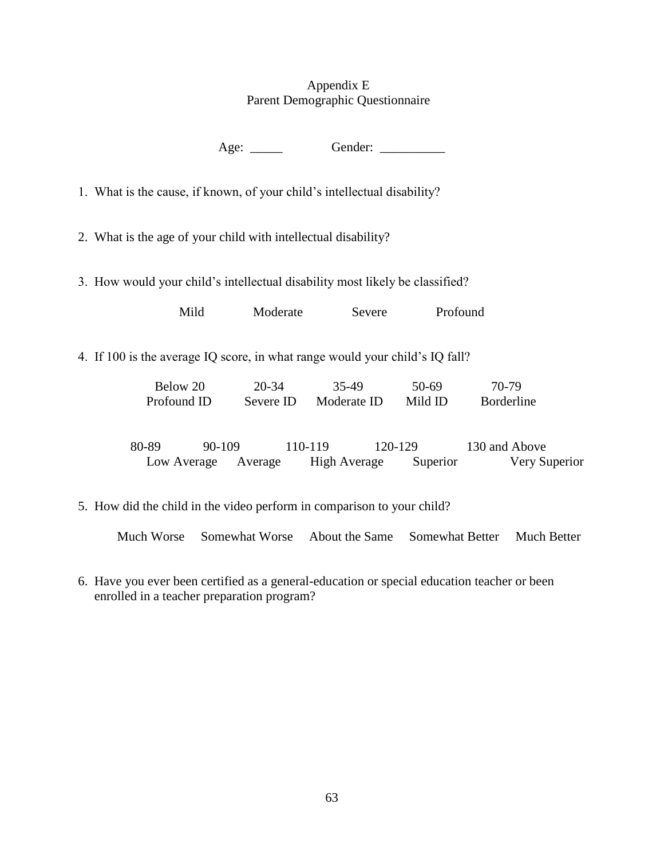## Appendix E Parent Demographic Questionnaire

Age: \_\_\_\_\_\_\_ Gender: \_\_\_\_\_\_\_\_\_\_

1. What is the cause, if known, of your child's intellectual disability?

2. What is the age of your child with intellectual disability?

3. How would your child's intellectual disability most likely be classified?

| Mild | Moderate | Severe | Profound |
|------|----------|--------|----------|
|      |          |        |          |

4. If 100 is the average IQ score, in what range would your child's IQ fall?

| Below 20    | 20-34     | 35-49       | 50-69   | 70-79              |
|-------------|-----------|-------------|---------|--------------------|
| Profound ID | Severe ID | Moderate ID | Mild ID | <b>B</b> orderline |
|             |           |             |         |                    |
|             |           |             |         |                    |

80-89 90-109 110-119 120-129 130 and Above Low Average Average High Average Superior Very Superior

5. How did the child in the video perform in comparison to your child?

Much Worse Somewhat Worse About the Same Somewhat Better Much Better

6. Have you ever been certified as a general-education or special education teacher or been enrolled in a teacher preparation program?